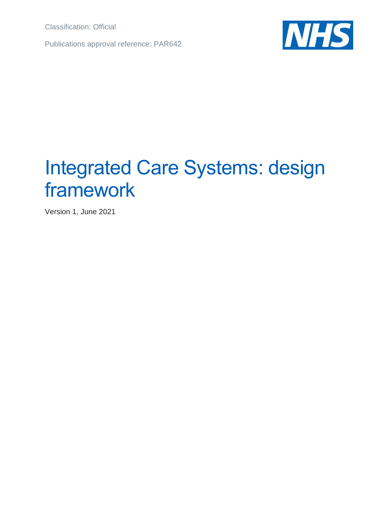Classification: Official

Publications approval reference: PAR642



# Integrated Care Systems: design framework

Version 1, June 2021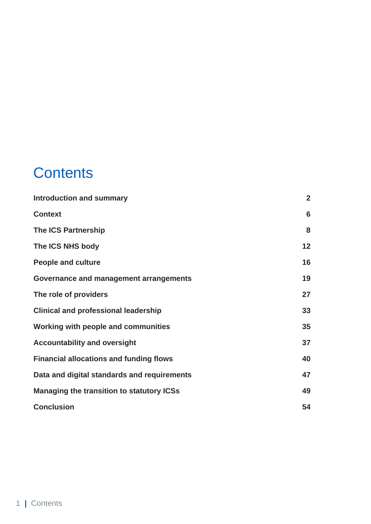## **Contents**

| <b>Introduction and summary</b>                | $\overline{2}$ |
|------------------------------------------------|----------------|
| <b>Context</b>                                 | 6              |
| <b>The ICS Partnership</b>                     | 8              |
| The ICS NHS body                               | 12             |
| <b>People and culture</b>                      | 16             |
| Governance and management arrangements         | 19             |
| The role of providers                          | 27             |
| <b>Clinical and professional leadership</b>    | 33             |
| Working with people and communities            | 35             |
| <b>Accountability and oversight</b>            | 37             |
| <b>Financial allocations and funding flows</b> | 40             |
| Data and digital standards and requirements    | 47             |
| Managing the transition to statutory ICSs      | 49             |
| <b>Conclusion</b>                              | 54             |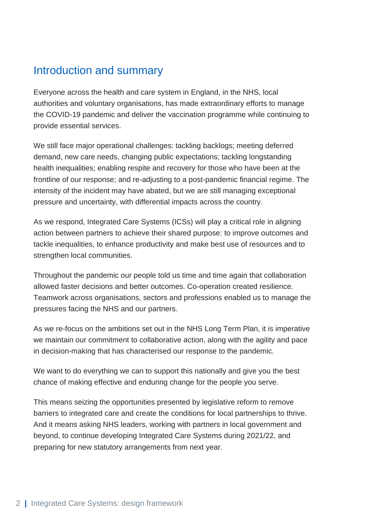### <span id="page-2-0"></span>Introduction and summary

Everyone across the health and care system in England, in the NHS, local authorities and voluntary organisations, has made extraordinary efforts to manage the COVID-19 pandemic and deliver the vaccination programme while continuing to provide essential services.

We still face major operational challenges: tackling backlogs; meeting deferred demand, new care needs, changing public expectations; tackling longstanding health inequalities; enabling respite and recovery for those who have been at the frontline of our response; and re-adjusting to a post-pandemic financial regime. The intensity of the incident may have abated, but we are still managing exceptional pressure and uncertainty, with differential impacts across the country.

As we respond, Integrated Care Systems (ICSs) will play a critical role in aligning action between partners to achieve their shared purpose: to improve outcomes and tackle inequalities, to enhance productivity and make best use of resources and to strengthen local communities.

Throughout the pandemic our people told us time and time again that collaboration allowed faster decisions and better outcomes. Co-operation created resilience. Teamwork across organisations, sectors and professions enabled us to manage the pressures facing the NHS and our partners.

As we re-focus on the ambitions set out in the NHS Long Term Plan, it is imperative we maintain our commitment to collaborative action, along with the agility and pace in decision-making that has characterised our response to the pandemic.

We want to do everything we can to support this nationally and give you the best chance of making effective and enduring change for the people you serve.

This means seizing the opportunities presented by legislative reform to remove barriers to integrated care and create the conditions for local partnerships to thrive. And it means asking NHS leaders, working with partners in local government and beyond, to continue developing Integrated Care Systems during 2021/22, and preparing for new statutory arrangements from next year.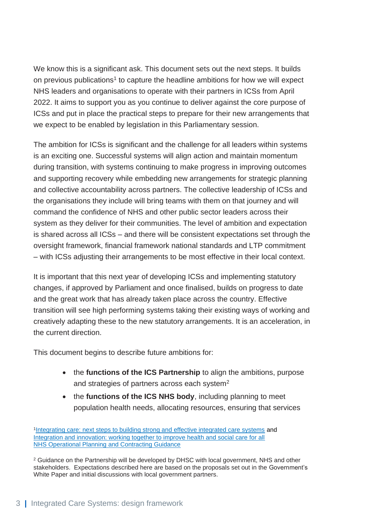We know this is a significant ask. This document sets out the next steps. It builds on previous publications<sup>1</sup> to capture the headline ambitions for how we will expect NHS leaders and organisations to operate with their partners in ICSs from April 2022. It aims to support you as you continue to deliver against the core purpose of ICSs and put in place the practical steps to prepare for their new arrangements that we expect to be enabled by legislation in this Parliamentary session.

The ambition for ICSs is significant and the challenge for all leaders within systems is an exciting one. Successful systems will align action and maintain momentum during transition, with systems continuing to make progress in improving outcomes and supporting recovery while embedding new arrangements for strategic planning and collective accountability across partners. The collective leadership of ICSs and the organisations they include will bring teams with them on that journey and will command the confidence of NHS and other public sector leaders across their system as they deliver for their communities. The level of ambition and expectation is shared across all ICSs – and there will be consistent expectations set through the oversight framework, financial framework national standards and LTP commitment – with ICSs adjusting their arrangements to be most effective in their local context.

It is important that this next year of developing ICSs and implementing statutory changes, if approved by Parliament and once finalised, builds on progress to date and the great work that has already taken place across the country. Effective transition will see high performing systems taking their existing ways of working and creatively adapting these to the new statutory arrangements. It is an acceleration, in the current direction.

This document begins to describe future ambitions for:

- the **functions of the ICS Partnership** to align the ambitions, purpose and strategies of partners across each system $2$
- the **functions of the ICS NHS body**, including planning to meet population health needs, allocating resources, ensuring that services

<sup>1</sup>[Integrating care: next steps to building strong and effective integrated care systems](https://www.england.nhs.uk/wp-content/uploads/2021/01/integrating-care-next-steps-to-building-strong-and-effective-integrated-care-systems.pdf) and [Integration and innovation: working together to improve health and social care for all](https://www.gov.uk/government/publications/working-together-to-improve-health-and-social-care-for-all) [NHS Operational Planning and Contracting Guidance](https://www.england.nhs.uk/operational-planning-and-contracting/)

<sup>&</sup>lt;sup>2</sup> Guidance on the Partnership will be developed by DHSC with local government, NHS and other stakeholders. Expectations described here are based on the proposals set out in the Government's White Paper and initial discussions with local government partners.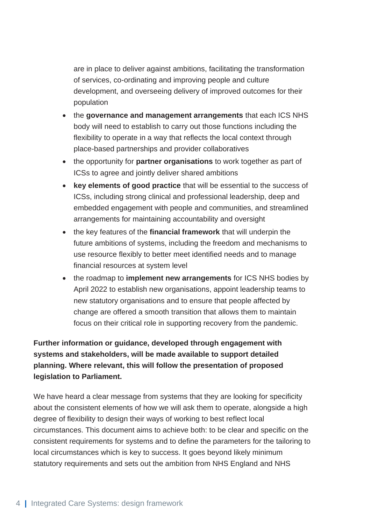are in place to deliver against ambitions, facilitating the transformation of services, co-ordinating and improving people and culture development, and overseeing delivery of improved outcomes for their population

- the **governance and management arrangements** that each ICS NHS body will need to establish to carry out those functions including the flexibility to operate in a way that reflects the local context through place-based partnerships and provider collaboratives
- the opportunity for **partner organisations** to work together as part of ICSs to agree and jointly deliver shared ambitions
- **key elements of good practice** that will be essential to the success of ICSs, including strong clinical and professional leadership, deep and embedded engagement with people and communities, and streamlined arrangements for maintaining accountability and oversight
- the key features of the **financial framework** that will underpin the future ambitions of systems, including the freedom and mechanisms to use resource flexibly to better meet identified needs and to manage financial resources at system level
- the roadmap to **implement new arrangements** for ICS NHS bodies by April 2022 to establish new organisations, appoint leadership teams to new statutory organisations and to ensure that people affected by change are offered a smooth transition that allows them to maintain focus on their critical role in supporting recovery from the pandemic.

#### **Further information or guidance, developed through engagement with systems and stakeholders, will be made available to support detailed planning. Where relevant, this will follow the presentation of proposed legislation to Parliament.**

We have heard a clear message from systems that they are looking for specificity about the consistent elements of how we will ask them to operate, alongside a high degree of flexibility to design their ways of working to best reflect local circumstances. This document aims to achieve both: to be clear and specific on the consistent requirements for systems and to define the parameters for the tailoring to local circumstances which is key to success. It goes beyond likely minimum statutory requirements and sets out the ambition from NHS England and NHS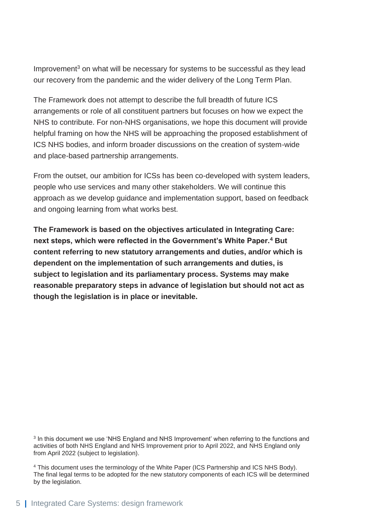Improvement $3$  on what will be necessary for systems to be successful as they lead our recovery from the pandemic and the wider delivery of the Long Term Plan.

The Framework does not attempt to describe the full breadth of future ICS arrangements or role of all constituent partners but focuses on how we expect the NHS to contribute. For non-NHS organisations, we hope this document will provide helpful framing on how the NHS will be approaching the proposed establishment of ICS NHS bodies, and inform broader discussions on the creation of system-wide and place-based partnership arrangements.

From the outset, our ambition for ICSs has been co-developed with system leaders, people who use services and many other stakeholders. We will continue this approach as we develop guidance and implementation support, based on feedback and ongoing learning from what works best.

<span id="page-5-0"></span>**The Framework is based on the objectives articulated in Integrating Care: next steps, which were reflected in the Government's White Paper.<sup>4</sup> But content referring to new statutory arrangements and duties, and/or which is dependent on the implementation of such arrangements and duties, is subject to legislation and its parliamentary process. Systems may make reasonable preparatory steps in advance of legislation but should not act as though the legislation is in place or inevitable.**

<sup>3</sup> In this document we use 'NHS England and NHS Improvement' when referring to the functions and activities of both NHS England and NHS Improvement prior to April 2022, and NHS England only from April 2022 (subject to legislation).

<sup>4</sup> This document uses the terminology of the White Paper (ICS Partnership and ICS NHS Body). The final legal terms to be adopted for the new statutory components of each ICS will be determined by the legislation.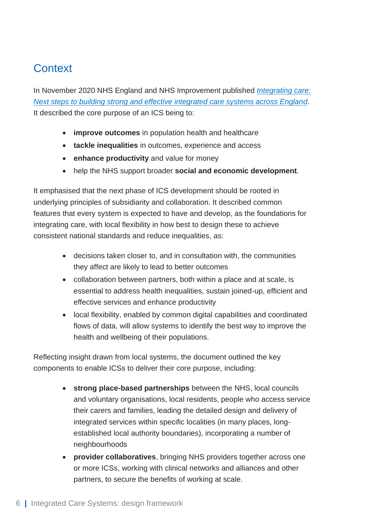### **Context**

In November 2020 NHS England and NHS Improvement published *[Integrating care:](https://www.england.nhs.uk/wp-content/uploads/2021/01/integrating-care-next-steps-to-building-strong-and-effective-integrated-care-systems.pdf)  [Next steps to building strong and effective integrated care systems across England](https://www.england.nhs.uk/wp-content/uploads/2021/01/integrating-care-next-steps-to-building-strong-and-effective-integrated-care-systems.pdf)*. It described the core purpose of an ICS being to:

- **improve outcomes** in population health and healthcare
- **tackle inequalities** in outcomes, experience and access
- **enhance productivity** and value for money
- help the NHS support broader **social and economic development**.

It emphasised that the next phase of ICS development should be rooted in underlying principles of subsidiarity and collaboration. It described common features that every system is expected to have and develop, as the foundations for integrating care, with local flexibility in how best to design these to achieve consistent national standards and reduce inequalities, as:

- decisions taken closer to, and in consultation with, the communities they affect are likely to lead to better outcomes
- collaboration between partners, both within a place and at scale, is essential to address health inequalities, sustain joined-up, efficient and effective services and enhance productivity
- local flexibility, enabled by common digital capabilities and coordinated flows of data, will allow systems to identify the best way to improve the health and wellbeing of their populations.

Reflecting insight drawn from local systems, the document outlined the key components to enable ICSs to deliver their core purpose, including:

- **strong place-based partnerships** between the NHS, local councils and voluntary organisations, local residents, people who access service their carers and families, leading the detailed design and delivery of integrated services within specific localities (in many places, longestablished local authority boundaries), incorporating a number of neighbourhoods
- **provider collaboratives**, bringing NHS providers together across one or more ICSs, working with clinical networks and alliances and other partners, to secure the benefits of working at scale.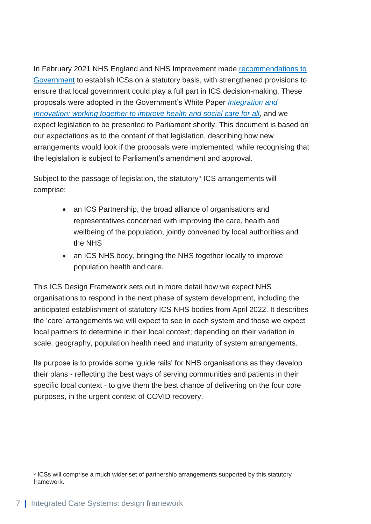In February 2021 NHS England and NHS Improvement made recommendations to [Government](https://www.england.nhs.uk/publication/legislating-for-integrated-care-systems-five-recommendations-to-government-and-parliament/) to establish ICSs on a statutory basis, with strengthened provisions to ensure that local government could play a full part in ICS decision-making. These proposals were adopted in the Government's White Paper *[Integration and](https://www.gov.uk/government/publications/working-together-to-improve-health-and-social-care-for-all)  [Innovation: working together to improve health and social care for all](https://www.gov.uk/government/publications/working-together-to-improve-health-and-social-care-for-all)*, and we expect legislation to be presented to Parliament shortly. This document is based on our expectations as to the content of that legislation, describing how new arrangements would look if the proposals were implemented, while recognising that the legislation is subject to Parliament's amendment and approval.

Subject to the passage of legislation, the statutory<sup>5</sup> ICS arrangements will comprise:

- an ICS Partnership, the broad alliance of organisations and representatives concerned with improving the care, health and wellbeing of the population, jointly convened by local authorities and the NHS
- an ICS NHS body, bringing the NHS together locally to improve population health and care.

This ICS Design Framework sets out in more detail how we expect NHS organisations to respond in the next phase of system development, including the anticipated establishment of statutory ICS NHS bodies from April 2022. It describes the 'core' arrangements we will expect to see in each system and those we expect local partners to determine in their local context; depending on their variation in scale, geography, population health need and maturity of system arrangements.

<span id="page-7-0"></span>Its purpose is to provide some 'guide rails' for NHS organisations as they develop their plans - reflecting the best ways of serving communities and patients in their specific local context - to give them the best chance of delivering on the four core purposes, in the urgent context of COVID recovery.

<sup>&</sup>lt;sup>5</sup> ICSs will comprise a much wider set of partnership arrangements supported by this statutory framework.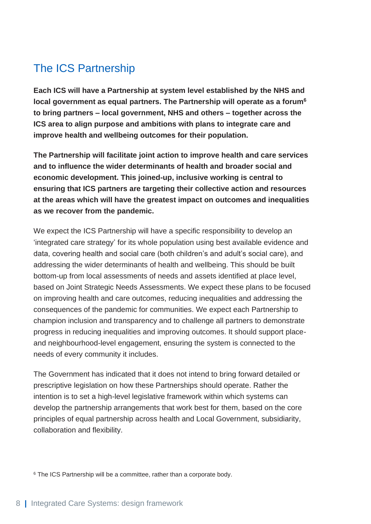### The ICS Partnership

**Each ICS will have a Partnership at system level established by the NHS and local government as equal partners. The Partnership will operate as a forum<sup>6</sup> to bring partners – local government, NHS and others – together across the ICS area to align purpose and ambitions with plans to integrate care and improve health and wellbeing outcomes for their population.**

**The Partnership will facilitate joint action to improve health and care services and to influence the wider determinants of health and broader social and economic development. This joined-up, inclusive working is central to ensuring that ICS partners are targeting their collective action and resources at the areas which will have the greatest impact on outcomes and inequalities as we recover from the pandemic.** 

We expect the ICS Partnership will have a specific responsibility to develop an 'integrated care strategy' for its whole population using best available evidence and data, covering health and social care (both children's and adult's social care), and addressing the wider determinants of health and wellbeing. This should be built bottom-up from local assessments of needs and assets identified at place level, based on Joint Strategic Needs Assessments. We expect these plans to be focused on improving health and care outcomes, reducing inequalities and addressing the consequences of the pandemic for communities. We expect each Partnership to champion inclusion and transparency and to challenge all partners to demonstrate progress in reducing inequalities and improving outcomes. It should support placeand neighbourhood-level engagement, ensuring the system is connected to the needs of every community it includes.

The Government has indicated that it does not intend to bring forward detailed or prescriptive legislation on how these Partnerships should operate. Rather the intention is to set a high-level legislative framework within which systems can develop the partnership arrangements that work best for them, based on the core principles of equal partnership across health and Local Government, subsidiarity, collaboration and flexibility.

<sup>6</sup> The ICS Partnership will be a committee, rather than a corporate body.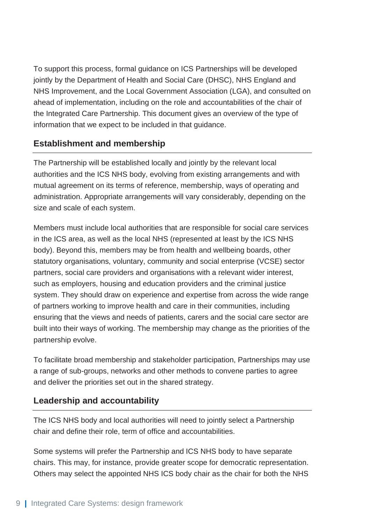To support this process, formal guidance on ICS Partnerships will be developed jointly by the Department of Health and Social Care (DHSC), NHS England and NHS Improvement, and the Local Government Association (LGA), and consulted on ahead of implementation, including on the role and accountabilities of the chair of the Integrated Care Partnership. This document gives an overview of the type of information that we expect to be included in that guidance.

#### **Establishment and membership**

The Partnership will be established locally and jointly by the relevant local authorities and the ICS NHS body, evolving from existing arrangements and with mutual agreement on its terms of reference, membership, ways of operating and administration. Appropriate arrangements will vary considerably, depending on the size and scale of each system.

Members must include local authorities that are responsible for social care services in the ICS area, as well as the local NHS (represented at least by the ICS NHS body). Beyond this, members may be from health and wellbeing boards, other statutory organisations, voluntary, community and social enterprise (VCSE) sector partners, social care providers and organisations with a relevant wider interest, such as employers, housing and education providers and the criminal justice system. They should draw on experience and expertise from across the wide range of partners working to improve health and care in their communities, including ensuring that the views and needs of patients, carers and the social care sector are built into their ways of working. The membership may change as the priorities of the partnership evolve.

To facilitate broad membership and stakeholder participation, Partnerships may use a range of sub-groups, networks and other methods to convene parties to agree and deliver the priorities set out in the shared strategy.

#### **Leadership and accountability**

The ICS NHS body and local authorities will need to jointly select a Partnership chair and define their role, term of office and accountabilities.

Some systems will prefer the Partnership and ICS NHS body to have separate chairs. This may, for instance, provide greater scope for democratic representation. Others may select the appointed NHS ICS body chair as the chair for both the NHS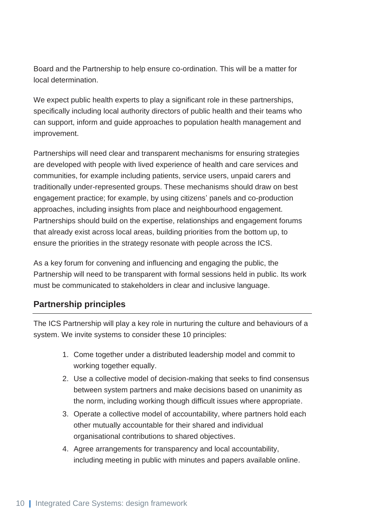Board and the Partnership to help ensure co-ordination. This will be a matter for local determination.

We expect public health experts to play a significant role in these partnerships, specifically including local authority directors of public health and their teams who can support, inform and guide approaches to population health management and improvement.

Partnerships will need clear and transparent mechanisms for ensuring strategies are developed with people with lived experience of health and care services and communities, for example including patients, service users, unpaid carers and traditionally under-represented groups. These mechanisms should draw on best engagement practice; for example, by using citizens' panels and co-production approaches, including insights from place and neighbourhood engagement. Partnerships should build on the expertise, relationships and engagement forums that already exist across local areas, building priorities from the bottom up, to ensure the priorities in the strategy resonate with people across the ICS.

As a key forum for convening and influencing and engaging the public, the Partnership will need to be transparent with formal sessions held in public. Its work must be communicated to stakeholders in clear and inclusive language.

#### **Partnership principles**

The ICS Partnership will play a key role in nurturing the culture and behaviours of a system. We invite systems to consider these 10 principles:

- 1. Come together under a distributed leadership model and commit to working together equally.
- 2. Use a collective model of decision-making that seeks to find consensus between system partners and make decisions based on unanimity as the norm, including working though difficult issues where appropriate.
- 3. Operate a collective model of accountability, where partners hold each other mutually accountable for their shared and individual organisational contributions to shared objectives.
- 4. Agree arrangements for transparency and local accountability, including meeting in public with minutes and papers available online.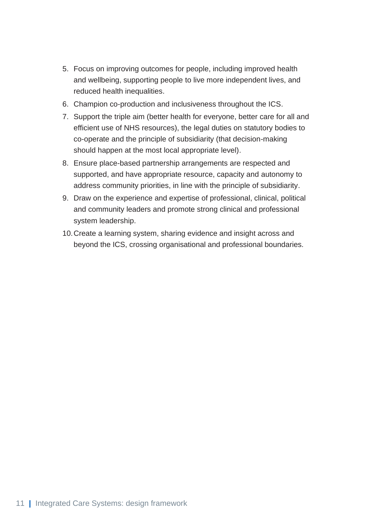- 5. Focus on improving outcomes for people, including improved health and wellbeing, supporting people to live more independent lives, and reduced health inequalities.
- 6. Champion co-production and inclusiveness throughout the ICS.
- 7. Support the triple aim (better health for everyone, better care for all and efficient use of NHS resources), the legal duties on statutory bodies to co-operate and the principle of subsidiarity (that decision-making should happen at the most local appropriate level).
- 8. Ensure place-based partnership arrangements are respected and supported, and have appropriate resource, capacity and autonomy to address community priorities, in line with the principle of subsidiarity.
- 9. Draw on the experience and expertise of professional, clinical, political and community leaders and promote strong clinical and professional system leadership.
- <span id="page-11-0"></span>10.Create a learning system, sharing evidence and insight across and beyond the ICS, crossing organisational and professional boundaries.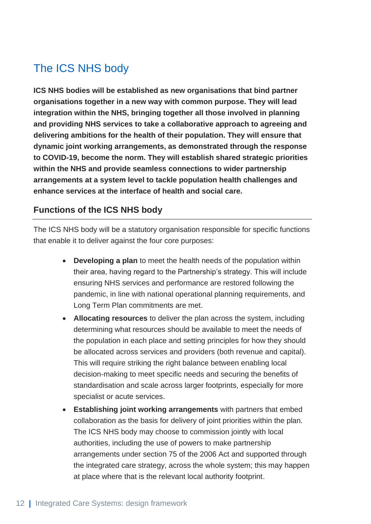### The ICS NHS body

**ICS NHS bodies will be established as new organisations that bind partner organisations together in a new way with common purpose. They will lead integration within the NHS, bringing together all those involved in planning and providing NHS services to take a collaborative approach to agreeing and delivering ambitions for the health of their population. They will ensure that dynamic joint working arrangements, as demonstrated through the response to COVID-19, become the norm. They will establish shared strategic priorities within the NHS and provide seamless connections to wider partnership arrangements at a system level to tackle population health challenges and enhance services at the interface of health and social care.** 

#### **Functions of the ICS NHS body**

The ICS NHS body will be a statutory organisation responsible for specific functions that enable it to deliver against the four core purposes:

- **Developing a plan** to meet the health needs of the population within their area, having regard to the Partnership's strategy. This will include ensuring NHS services and performance are restored following the pandemic, in line with national operational planning requirements, and Long Term Plan commitments are met.
- **Allocating resources** to deliver the plan across the system, including determining what resources should be available to meet the needs of the population in each place and setting principles for how they should be allocated across services and providers (both revenue and capital). This will require striking the right balance between enabling local decision-making to meet specific needs and securing the benefits of standardisation and scale across larger footprints, especially for more specialist or acute services.
- **Establishing joint working arrangements** with partners that embed collaboration as the basis for delivery of joint priorities within the plan. The ICS NHS body may choose to commission jointly with local authorities, including the use of powers to make partnership arrangements under section 75 of the 2006 Act and supported through the integrated care strategy, across the whole system; this may happen at place where that is the relevant local authority footprint.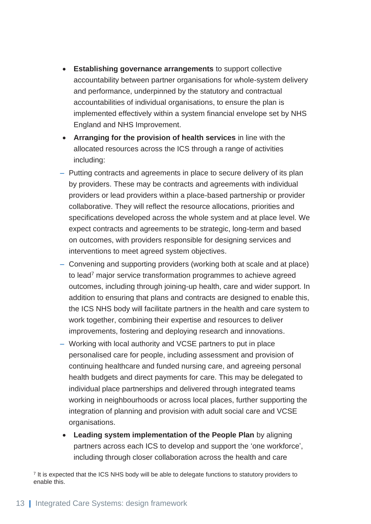- **Establishing governance arrangements** to support collective accountability between partner organisations for whole-system delivery and performance, underpinned by the statutory and contractual accountabilities of individual organisations, to ensure the plan is implemented effectively within a system financial envelope set by NHS England and NHS Improvement.
- **Arranging for the provision of health services** in line with the allocated resources across the ICS through a range of activities including:
- Putting contracts and agreements in place to secure delivery of its plan by providers. These may be contracts and agreements with individual providers or lead providers within a place-based partnership or provider collaborative. They will reflect the resource allocations, priorities and specifications developed across the whole system and at place level. We expect contracts and agreements to be strategic, long-term and based on outcomes, with providers responsible for designing services and interventions to meet agreed system objectives.
- Convening and supporting providers (working both at scale and at place) to lead<sup>7</sup> major service transformation programmes to achieve agreed outcomes, including through joining-up health, care and wider support. In addition to ensuring that plans and contracts are designed to enable this, the ICS NHS body will facilitate partners in the health and care system to work together, combining their expertise and resources to deliver improvements, fostering and deploying research and innovations.
- Working with local authority and VCSE partners to put in place personalised care for people, including assessment and provision of continuing healthcare and funded nursing care, and agreeing personal health budgets and direct payments for care. This may be delegated to individual place partnerships and delivered through integrated teams working in neighbourhoods or across local places, further supporting the integration of planning and provision with adult social care and VCSE organisations.
- **Leading system implementation of the People Plan** by aligning partners across each ICS to develop and support the 'one workforce', including through closer collaboration across the health and care

<sup>7</sup> It is expected that the ICS NHS body will be able to delegate functions to statutory providers to enable this.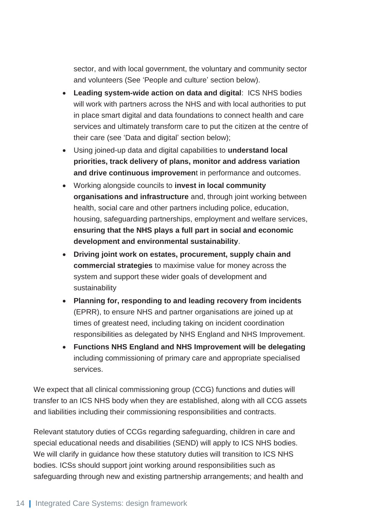sector, and with local government, the voluntary and community sector and volunteers (See 'People and culture' section below).

- **Leading system-wide action on data and digital**: ICS NHS bodies will work with partners across the NHS and with local authorities to put in place smart digital and data foundations to connect health and care services and ultimately transform care to put the citizen at the centre of their care (see 'Data and digital' section below);
- Using joined-up data and digital capabilities to **understand local priorities, track delivery of plans, monitor and address variation and drive continuous improvemen**t in performance and outcomes.
- Working alongside councils to **invest in local community organisations and infrastructure** and, through joint working between health, social care and other partners including police, education, housing, safeguarding partnerships, employment and welfare services, **ensuring that the NHS plays a full part in social and economic development and environmental sustainability**.
- **Driving joint work on estates, procurement, supply chain and commercial strategies** to maximise value for money across the system and support these wider goals of development and sustainability
- **Planning for, responding to and leading recovery from incidents** (EPRR), to ensure NHS and partner organisations are joined up at times of greatest need, including taking on incident coordination responsibilities as delegated by NHS England and NHS Improvement.
- **Functions NHS England and NHS Improvement will be delegating** including commissioning of primary care and appropriate specialised services.

We expect that all clinical commissioning group (CCG) functions and duties will transfer to an ICS NHS body when they are established, along with all CCG assets and liabilities including their commissioning responsibilities and contracts.

Relevant statutory duties of CCGs regarding safeguarding, children in care and special educational needs and disabilities (SEND) will apply to ICS NHS bodies. We will clarify in guidance how these statutory duties will transition to ICS NHS bodies. ICSs should support joint working around responsibilities such as safeguarding through new and existing partnership arrangements; and health and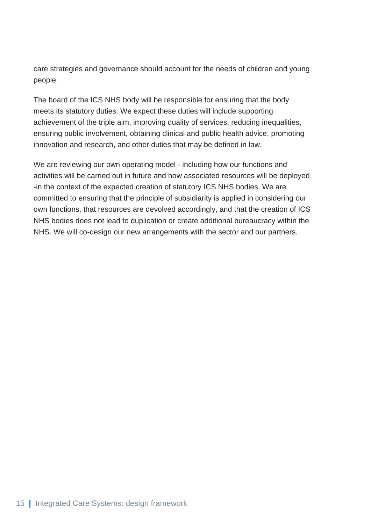care strategies and governance should account for the needs of children and young people.

The board of the ICS NHS body will be responsible for ensuring that the body meets its statutory duties. We expect these duties will include supporting achievement of the triple aim, improving quality of services, reducing inequalities, ensuring public involvement, obtaining clinical and public health advice, promoting innovation and research, and other duties that may be defined in law.

<span id="page-15-0"></span>We are reviewing our own operating model - including how our functions and activities will be carried out in future and how associated resources will be deployed -in the context of the expected creation of statutory ICS NHS bodies. We are committed to ensuring that the principle of subsidiarity is applied in considering our own functions, that resources are devolved accordingly, and that the creation of ICS NHS bodies does not lead to duplication or create additional bureaucracy within the NHS. We will co-design our new arrangements with the sector and our partners.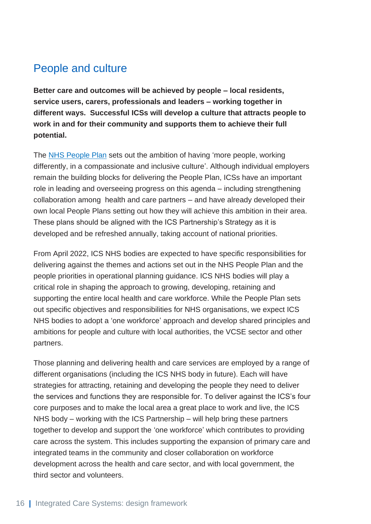### People and culture

**Better care and outcomes will be achieved by people – local residents, service users, carers, professionals and leaders – working together in different ways. Successful ICSs will develop a culture that attracts people to work in and for their community and supports them to achieve their full potential.**

The [NHS People Plan](https://www.england.nhs.uk/ournhspeople/online-version/) sets out the ambition of having 'more people, working differently, in a compassionate and inclusive culture'. Although individual employers remain the building blocks for delivering the People Plan, ICSs have an important role in leading and overseeing progress on this agenda – including strengthening collaboration among health and care partners – and have already developed their own local People Plans setting out how they will achieve this ambition in their area. These plans should be aligned with the ICS Partnership's Strategy as it is developed and be refreshed annually, taking account of national priorities.

From April 2022, ICS NHS bodies are expected to have specific responsibilities for delivering against the themes and actions set out in the NHS People Plan and the people priorities in operational planning guidance. ICS NHS bodies will play a critical role in shaping the approach to growing, developing, retaining and supporting the entire local health and care workforce. While the People Plan sets out specific objectives and responsibilities for NHS organisations, we expect ICS NHS bodies to adopt a 'one workforce' approach and develop shared principles and ambitions for people and culture with local authorities, the VCSE sector and other partners.

Those planning and delivering health and care services are employed by a range of different organisations (including the ICS NHS body in future). Each will have strategies for attracting, retaining and developing the people they need to deliver the services and functions they are responsible for. To deliver against the ICS's four core purposes and to make the local area a great place to work and live, the ICS NHS body – working with the ICS Partnership – will help bring these partners together to develop and support the 'one workforce' which contributes to providing care across the system. This includes supporting the expansion of primary care and integrated teams in the community and closer collaboration on workforce development across the health and care sector, and with local government, the third sector and volunteers.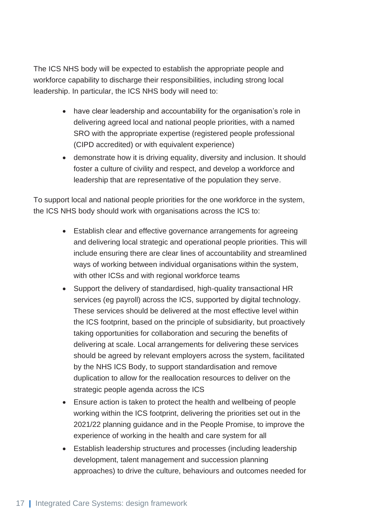The ICS NHS body will be expected to establish the appropriate people and workforce capability to discharge their responsibilities, including strong local leadership. In particular, the ICS NHS body will need to:

- have clear leadership and accountability for the organisation's role in delivering agreed local and national people priorities, with a named SRO with the appropriate expertise (registered people professional (CIPD accredited) or with equivalent experience)
- demonstrate how it is driving equality, diversity and inclusion. It should foster a culture of civility and respect, and develop a workforce and leadership that are representative of the population they serve.

To support local and national people priorities for the one workforce in the system, the ICS NHS body should work with organisations across the ICS to:

- Establish clear and effective governance arrangements for agreeing and delivering local strategic and operational people priorities. This will include ensuring there are clear lines of accountability and streamlined ways of working between individual organisations within the system, with other ICSs and with regional workforce teams
- Support the delivery of standardised, high-quality transactional HR services (eg payroll) across the ICS, supported by digital technology. These services should be delivered at the most effective level within the ICS footprint, based on the principle of subsidiarity, but proactively taking opportunities for collaboration and securing the benefits of delivering at scale. Local arrangements for delivering these services should be agreed by relevant employers across the system, facilitated by the NHS ICS Body, to support standardisation and remove duplication to allow for the reallocation resources to deliver on the strategic people agenda across the ICS
- Ensure action is taken to protect the health and wellbeing of people working within the ICS footprint, delivering the priorities set out in the 2021/22 planning guidance and in the People Promise, to improve the experience of working in the health and care system for all
- Establish leadership structures and processes (including leadership development, talent management and succession planning approaches) to drive the culture, behaviours and outcomes needed for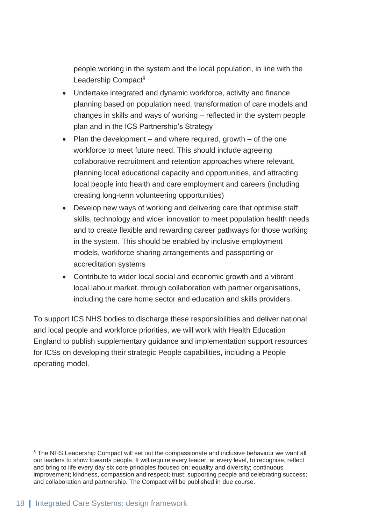people working in the system and the local population, in line with the Leadership Compact<sup>8</sup>

- Undertake integrated and dynamic workforce, activity and finance planning based on population need, transformation of care models and changes in skills and ways of working – reflected in the system people plan and in the ICS Partnership's Strategy
- Plan the development and where required, growth of the one workforce to meet future need. This should include agreeing collaborative recruitment and retention approaches where relevant, planning local educational capacity and opportunities, and attracting local people into health and care employment and careers (including creating long-term volunteering opportunities)
- Develop new ways of working and delivering care that optimise staff skills, technology and wider innovation to meet population health needs and to create flexible and rewarding career pathways for those working in the system. This should be enabled by inclusive employment models, workforce sharing arrangements and passporting or accreditation systems
- Contribute to wider local social and economic growth and a vibrant local labour market, through collaboration with partner organisations, including the care home sector and education and skills providers.

<span id="page-18-0"></span>To support ICS NHS bodies to discharge these responsibilities and deliver national and local people and workforce priorities, we will work with Health Education England to publish supplementary guidance and implementation support resources for ICSs on developing their strategic People capabilities, including a People operating model.

<sup>&</sup>lt;sup>8</sup> The NHS Leadership Compact will set out the compassionate and inclusive behaviour we want all our leaders to show towards people. It will require every leader, at every level, to recognise, reflect and bring to life every day six core principles focused on: equality and diversity; continuous improvement; kindness, compassion and respect; trust; supporting people and celebrating success; and collaboration and partnership. The Compact will be published in due course.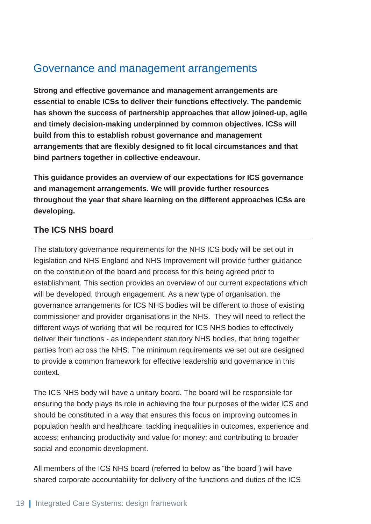### Governance and management arrangements

**Strong and effective governance and management arrangements are essential to enable ICSs to deliver their functions effectively. The pandemic has shown the success of partnership approaches that allow joined-up, agile and timely decision-making underpinned by common objectives. ICSs will build from this to establish robust governance and management arrangements that are flexibly designed to fit local circumstances and that bind partners together in collective endeavour.**

**This guidance provides an overview of our expectations for ICS governance and management arrangements. We will provide further resources throughout the year that share learning on the different approaches ICSs are developing.** 

#### **The ICS NHS board**

The statutory governance requirements for the NHS ICS body will be set out in legislation and NHS England and NHS Improvement will provide further guidance on the constitution of the board and process for this being agreed prior to establishment. This section provides an overview of our current expectations which will be developed, through engagement. As a new type of organisation, the governance arrangements for ICS NHS bodies will be different to those of existing commissioner and provider organisations in the NHS. They will need to reflect the different ways of working that will be required for ICS NHS bodies to effectively deliver their functions - as independent statutory NHS bodies, that bring together parties from across the NHS. The minimum requirements we set out are designed to provide a common framework for effective leadership and governance in this context.

The ICS NHS body will have a unitary board. The board will be responsible for ensuring the body plays its role in achieving the four purposes of the wider ICS and should be constituted in a way that ensures this focus on improving outcomes in population health and healthcare; tackling inequalities in outcomes, experience and access; enhancing productivity and value for money; and contributing to broader social and economic development.

All members of the ICS NHS board (referred to below as "the board") will have shared corporate accountability for delivery of the functions and duties of the ICS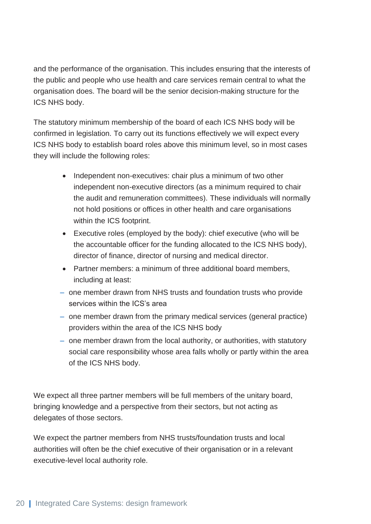and the performance of the organisation. This includes ensuring that the interests of the public and people who use health and care services remain central to what the organisation does. The board will be the senior decision-making structure for the ICS NHS body.

The statutory minimum membership of the board of each ICS NHS body will be confirmed in legislation. To carry out its functions effectively we will expect every ICS NHS body to establish board roles above this minimum level, so in most cases they will include the following roles:

- Independent non-executives: chair plus a minimum of two other independent non-executive directors (as a minimum required to chair the audit and remuneration committees). These individuals will normally not hold positions or offices in other health and care organisations within the ICS footprint.
- Executive roles (employed by the body): chief executive (who will be the accountable officer for the funding allocated to the ICS NHS body), director of finance, director of nursing and medical director.
- Partner members: a minimum of three additional board members, including at least:
- one member drawn from NHS trusts and foundation trusts who provide services within the ICS's area
- one member drawn from the primary medical services (general practice) providers within the area of the ICS NHS body
- one member drawn from the local authority, or authorities, with statutory social care responsibility whose area falls wholly or partly within the area of the ICS NHS body.

We expect all three partner members will be full members of the unitary board, bringing knowledge and a perspective from their sectors, but not acting as delegates of those sectors.

We expect the partner members from NHS trusts/foundation trusts and local authorities will often be the chief executive of their organisation or in a relevant executive-level local authority role.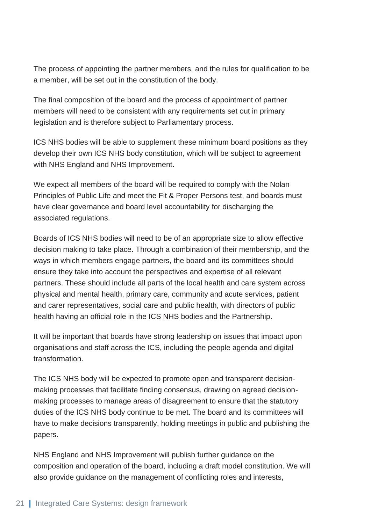The process of appointing the partner members, and the rules for qualification to be a member, will be set out in the constitution of the body.

The final composition of the board and the process of appointment of partner members will need to be consistent with any requirements set out in primary legislation and is therefore subject to Parliamentary process.

ICS NHS bodies will be able to supplement these minimum board positions as they develop their own ICS NHS body constitution, which will be subject to agreement with NHS England and NHS Improvement.

We expect all members of the board will be required to comply with the Nolan Principles of Public Life and meet the Fit & Proper Persons test, and boards must have clear governance and board level accountability for discharging the associated regulations.

Boards of ICS NHS bodies will need to be of an appropriate size to allow effective decision making to take place. Through a combination of their membership, and the ways in which members engage partners, the board and its committees should ensure they take into account the perspectives and expertise of all relevant partners. These should include all parts of the local health and care system across physical and mental health, primary care, community and acute services, patient and carer representatives, social care and public health, with directors of public health having an official role in the ICS NHS bodies and the Partnership.

It will be important that boards have strong leadership on issues that impact upon organisations and staff across the ICS, including the people agenda and digital transformation.

The ICS NHS body will be expected to promote open and transparent decisionmaking processes that facilitate finding consensus, drawing on agreed decisionmaking processes to manage areas of disagreement to ensure that the statutory duties of the ICS NHS body continue to be met. The board and its committees will have to make decisions transparently, holding meetings in public and publishing the papers.

NHS England and NHS Improvement will publish further guidance on the composition and operation of the board, including a draft model constitution. We will also provide guidance on the management of conflicting roles and interests,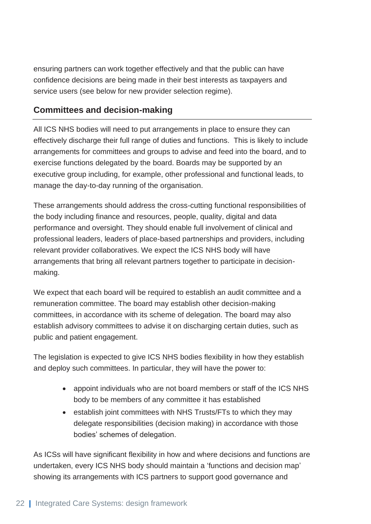ensuring partners can work together effectively and that the public can have confidence decisions are being made in their best interests as taxpayers and service users (see below for new provider selection regime).

#### **Committees and decision-making**

All ICS NHS bodies will need to put arrangements in place to ensure they can effectively discharge their full range of duties and functions. This is likely to include arrangements for committees and groups to advise and feed into the board, and to exercise functions delegated by the board. Boards may be supported by an executive group including, for example, other professional and functional leads, to manage the day-to-day running of the organisation.

These arrangements should address the cross-cutting functional responsibilities of the body including finance and resources, people, quality, digital and data performance and oversight. They should enable full involvement of clinical and professional leaders, leaders of place-based partnerships and providers, including relevant provider collaboratives. We expect the ICS NHS body will have arrangements that bring all relevant partners together to participate in decisionmaking.

We expect that each board will be required to establish an audit committee and a remuneration committee. The board may establish other decision-making committees, in accordance with its scheme of delegation. The board may also establish advisory committees to advise it on discharging certain duties, such as public and patient engagement.

The legislation is expected to give ICS NHS bodies flexibility in how they establish and deploy such committees. In particular, they will have the power to:

- appoint individuals who are not board members or staff of the ICS NHS body to be members of any committee it has established
- establish joint committees with NHS Trusts/FTs to which they may delegate responsibilities (decision making) in accordance with those bodies' schemes of delegation.

As ICSs will have significant flexibility in how and where decisions and functions are undertaken, every ICS NHS body should maintain a 'functions and decision map' showing its arrangements with ICS partners to support good governance and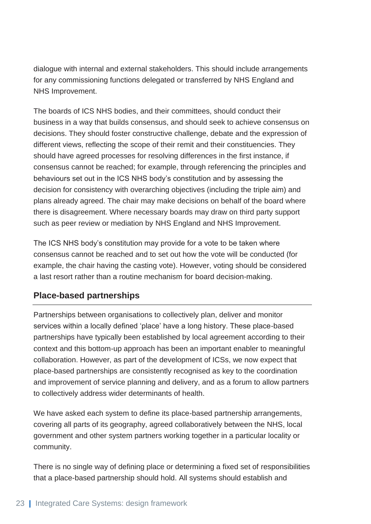dialogue with internal and external stakeholders. This should include arrangements for any commissioning functions delegated or transferred by NHS England and NHS Improvement.

The boards of ICS NHS bodies, and their committees, should conduct their business in a way that builds consensus, and should seek to achieve consensus on decisions. They should foster constructive challenge, debate and the expression of different views, reflecting the scope of their remit and their constituencies. They should have agreed processes for resolving differences in the first instance, if consensus cannot be reached; for example, through referencing the principles and behaviours set out in the ICS NHS body's constitution and by assessing the decision for consistency with overarching objectives (including the triple aim) and plans already agreed. The chair may make decisions on behalf of the board where there is disagreement. Where necessary boards may draw on third party support such as peer review or mediation by NHS England and NHS Improvement.

The ICS NHS body's constitution may provide for a vote to be taken where consensus cannot be reached and to set out how the vote will be conducted (for example, the chair having the casting vote). However, voting should be considered a last resort rather than a routine mechanism for board decision-making.

#### **Place-based partnerships**

Partnerships between organisations to collectively plan, deliver and monitor services within a locally defined 'place' have a long history. These place-based partnerships have typically been established by local agreement according to their context and this bottom-up approach has been an important enabler to meaningful collaboration. However, as part of the development of ICSs, we now expect that place-based partnerships are consistently recognised as key to the coordination and improvement of service planning and delivery, and as a forum to allow partners to collectively address wider determinants of health.

We have asked each system to define its place-based partnership arrangements, covering all parts of its geography, agreed collaboratively between the NHS, local government and other system partners working together in a particular locality or community.

There is no single way of defining place or determining a fixed set of responsibilities that a place-based partnership should hold. All systems should establish and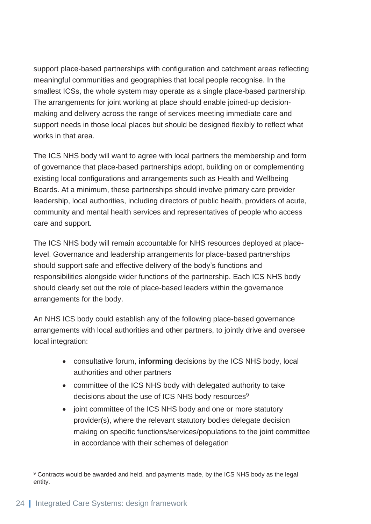support place-based partnerships with configuration and catchment areas reflecting meaningful communities and geographies that local people recognise. In the smallest ICSs, the whole system may operate as a single place-based partnership. The arrangements for joint working at place should enable joined-up decisionmaking and delivery across the range of services meeting immediate care and support needs in those local places but should be designed flexibly to reflect what works in that area.

The ICS NHS body will want to agree with local partners the membership and form of governance that place-based partnerships adopt, building on or complementing existing local configurations and arrangements such as Health and Wellbeing Boards. At a minimum, these partnerships should involve primary care provider leadership, local authorities, including directors of public health, providers of acute, community and mental health services and representatives of people who access care and support.

The ICS NHS body will remain accountable for NHS resources deployed at placelevel. Governance and leadership arrangements for place-based partnerships should support safe and effective delivery of the body's functions and responsibilities alongside wider functions of the partnership. Each ICS NHS body should clearly set out the role of place-based leaders within the governance arrangements for the body.

An NHS ICS body could establish any of the following place-based governance arrangements with local authorities and other partners, to jointly drive and oversee local integration:

- consultative forum, **informing** decisions by the ICS NHS body, local authorities and other partners
- committee of the ICS NHS body with delegated authority to take decisions about the use of ICS NHS body resources<sup>9</sup>
- joint committee of the ICS NHS body and one or more statutory provider(s), where the relevant statutory bodies delegate decision making on specific functions/services/populations to the joint committee in accordance with their schemes of delegation

<sup>9</sup> Contracts would be awarded and held, and payments made, by the ICS NHS body as the legal entity.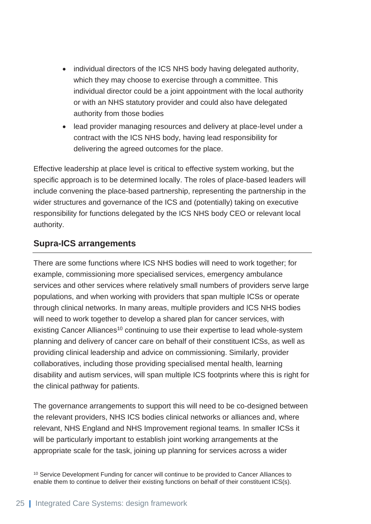- individual directors of the ICS NHS body having delegated authority, which they may choose to exercise through a committee. This individual director could be a joint appointment with the local authority or with an NHS statutory provider and could also have delegated authority from those bodies
- lead provider managing resources and delivery at place-level under a contract with the ICS NHS body, having lead responsibility for delivering the agreed outcomes for the place.

Effective leadership at place level is critical to effective system working, but the specific approach is to be determined locally. The roles of place-based leaders will include convening the place-based partnership, representing the partnership in the wider structures and governance of the ICS and (potentially) taking on executive responsibility for functions delegated by the ICS NHS body CEO or relevant local authority.

#### **Supra-ICS arrangements**

There are some functions where ICS NHS bodies will need to work together; for example, commissioning more specialised services, emergency ambulance services and other services where relatively small numbers of providers serve large populations, and when working with providers that span multiple ICSs or operate through clinical networks. In many areas, multiple providers and ICS NHS bodies will need to work together to develop a shared plan for cancer services, with existing Cancer Alliances<sup>10</sup> continuing to use their expertise to lead whole-system planning and delivery of cancer care on behalf of their constituent ICSs, as well as providing clinical leadership and advice on commissioning. Similarly, provider collaboratives, including those providing specialised mental health, learning disability and autism services, will span multiple ICS footprints where this is right for the clinical pathway for patients.

The governance arrangements to support this will need to be co-designed between the relevant providers, NHS ICS bodies clinical networks or alliances and, where relevant, NHS England and NHS Improvement regional teams. In smaller ICSs it will be particularly important to establish joint working arrangements at the appropriate scale for the task, joining up planning for services across a wider

<sup>10</sup> Service Development Funding for cancer will continue to be provided to Cancer Alliances to enable them to continue to deliver their existing functions on behalf of their constituent ICS(s).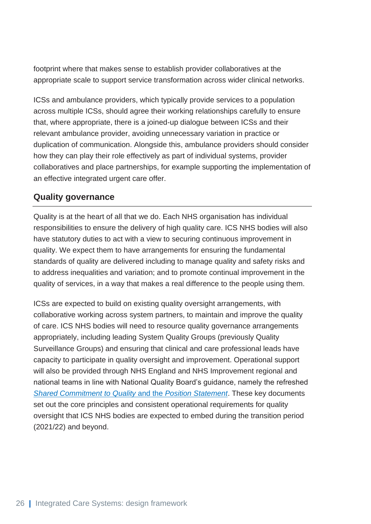footprint where that makes sense to establish provider collaboratives at the appropriate scale to support service transformation across wider clinical networks.

ICSs and ambulance providers, which typically provide services to a population across multiple ICSs, should agree their working relationships carefully to ensure that, where appropriate, there is a joined-up dialogue between ICSs and their relevant ambulance provider, avoiding unnecessary variation in practice or duplication of communication. Alongside this, ambulance providers should consider how they can play their role effectively as part of individual systems, provider collaboratives and place partnerships, for example supporting the implementation of an effective integrated urgent care offer.

#### **Quality governance**

Quality is at the heart of all that we do. Each NHS organisation has individual responsibilities to ensure the delivery of high quality care. ICS NHS bodies will also have statutory duties to act with a view to securing continuous improvement in quality. We expect them to have arrangements for ensuring the fundamental standards of quality are delivered including to manage quality and safety risks and to address inequalities and variation; and to promote continual improvement in the quality of services, in a way that makes a real difference to the people using them.

<span id="page-26-0"></span>ICSs are expected to build on existing quality oversight arrangements, with collaborative working across system partners, to maintain and improve the quality of care. ICS NHS bodies will need to resource quality governance arrangements appropriately, including leading System Quality Groups (previously Quality Surveillance Groups) and ensuring that clinical and care professional leads have capacity to participate in quality oversight and improvement. Operational support will also be provided through NHS England and NHS Improvement regional and national teams in line with National Quality Board's guidance, namely the refreshed *[Shared Commitment to Quality](https://www.england.nhs.uk/ourwork/part-rel/nqb/)* and the *Position Statement*. These key documents set out the core principles and consistent operational requirements for quality oversight that ICS NHS bodies are expected to embed during the transition period (2021/22) and beyond.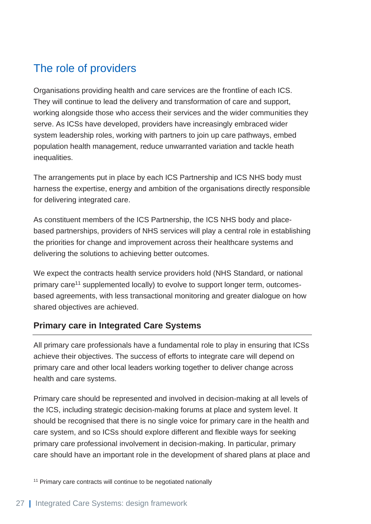### The role of providers

Organisations providing health and care services are the frontline of each ICS. They will continue to lead the delivery and transformation of care and support, working alongside those who access their services and the wider communities they serve. As ICSs have developed, providers have increasingly embraced wider system leadership roles, working with partners to join up care pathways, embed population health management, reduce unwarranted variation and tackle heath inequalities.

The arrangements put in place by each ICS Partnership and ICS NHS body must harness the expertise, energy and ambition of the organisations directly responsible for delivering integrated care.

As constituent members of the ICS Partnership, the ICS NHS body and placebased partnerships, providers of NHS services will play a central role in establishing the priorities for change and improvement across their healthcare systems and delivering the solutions to achieving better outcomes.

We expect the contracts health service providers hold (NHS Standard, or national primary care<sup>11</sup> supplemented locally) to evolve to support longer term, outcomesbased agreements, with less transactional monitoring and greater dialogue on how shared objectives are achieved.

#### **Primary care in Integrated Care Systems**

All primary care professionals have a fundamental role to play in ensuring that ICSs achieve their objectives. The success of efforts to integrate care will depend on primary care and other local leaders working together to deliver change across health and care systems.

Primary care should be represented and involved in decision-making at all levels of the ICS, including strategic decision-making forums at place and system level. It should be recognised that there is no single voice for primary care in the health and care system, and so ICSs should explore different and flexible ways for seeking primary care professional involvement in decision-making. In particular, primary care should have an important role in the development of shared plans at place and

<sup>11</sup> Primary care contracts will continue to be negotiated nationally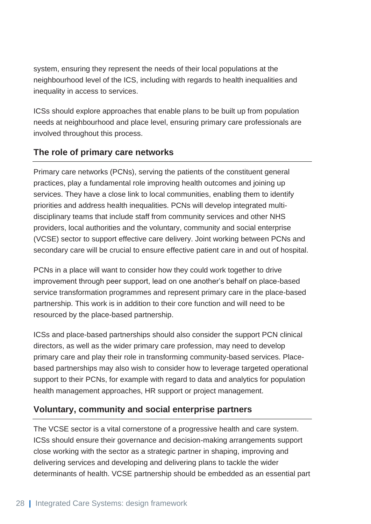system, ensuring they represent the needs of their local populations at the neighbourhood level of the ICS, including with regards to health inequalities and inequality in access to services.

ICSs should explore approaches that enable plans to be built up from population needs at neighbourhood and place level, ensuring primary care professionals are involved throughout this process.

#### **The role of primary care networks**

Primary care networks (PCNs), serving the patients of the constituent general practices, play a fundamental role improving health outcomes and joining up services. They have a close link to local communities, enabling them to identify priorities and address health inequalities. PCNs will develop integrated multidisciplinary teams that include staff from community services and other NHS providers, local authorities and the voluntary, community and social enterprise (VCSE) sector to support effective care delivery. Joint working between PCNs and secondary care will be crucial to ensure effective patient care in and out of hospital.

PCNs in a place will want to consider how they could work together to drive improvement through peer support, lead on one another's behalf on place-based service transformation programmes and represent primary care in the place-based partnership. This work is in addition to their core function and will need to be resourced by the place-based partnership.

ICSs and place-based partnerships should also consider the support PCN clinical directors, as well as the wider primary care profession, may need to develop primary care and play their role in transforming community-based services. Placebased partnerships may also wish to consider how to leverage targeted operational support to their PCNs, for example with regard to data and analytics for population health management approaches, HR support or project management.

#### **Voluntary, community and social enterprise partners**

The VCSE sector is a vital cornerstone of a progressive health and care system. ICSs should ensure their governance and decision-making arrangements support close working with the sector as a strategic partner in shaping, improving and delivering services and developing and delivering plans to tackle the wider determinants of health. VCSE partnership should be embedded as an essential part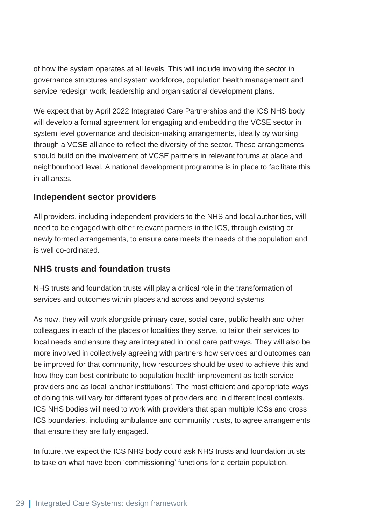of how the system operates at all levels. This will include involving the sector in governance structures and system workforce, population health management and service redesign work, leadership and organisational development plans.

We expect that by April 2022 Integrated Care Partnerships and the ICS NHS body will develop a formal agreement for engaging and embedding the VCSE sector in system level governance and decision-making arrangements, ideally by working through a VCSE alliance to reflect the diversity of the sector. These arrangements should build on the involvement of VCSE partners in relevant forums at place and neighbourhood level. A national development programme is in place to facilitate this in all areas.

#### **Independent sector providers**

All providers, including independent providers to the NHS and local authorities, will need to be engaged with other relevant partners in the ICS, through existing or newly formed arrangements, to ensure care meets the needs of the population and is well co-ordinated.

#### **NHS trusts and foundation trusts**

NHS trusts and foundation trusts will play a critical role in the transformation of services and outcomes within places and across and beyond systems.

As now, they will work alongside primary care, social care, public health and other colleagues in each of the places or localities they serve, to tailor their services to local needs and ensure they are integrated in local care pathways. They will also be more involved in collectively agreeing with partners how services and outcomes can be improved for that community, how resources should be used to achieve this and how they can best contribute to population health improvement as both service providers and as local 'anchor institutions'. The most efficient and appropriate ways of doing this will vary for different types of providers and in different local contexts. ICS NHS bodies will need to work with providers that span multiple ICSs and cross ICS boundaries, including ambulance and community trusts, to agree arrangements that ensure they are fully engaged.

In future, we expect the ICS NHS body could ask NHS trusts and foundation trusts to take on what have been 'commissioning' functions for a certain population,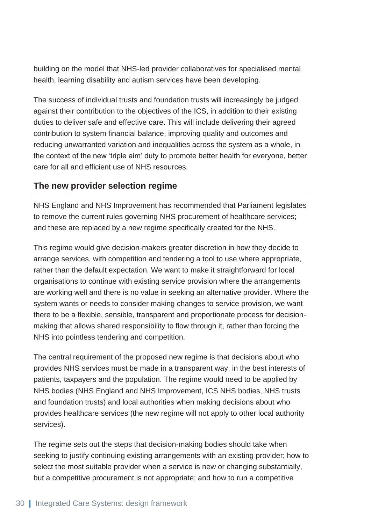building on the model that NHS-led provider collaboratives for specialised mental health, learning disability and autism services have been developing.

The success of individual trusts and foundation trusts will increasingly be judged against their contribution to the objectives of the ICS, in addition to their existing duties to deliver safe and effective care. This will include delivering their agreed contribution to system financial balance, improving quality and outcomes and reducing unwarranted variation and inequalities across the system as a whole, in the context of the new 'triple aim' duty to promote better health for everyone, better care for all and efficient use of NHS resources.

#### **The new provider selection regime**

NHS England and NHS Improvement has recommended that Parliament legislates to remove the current rules governing NHS procurement of healthcare services; and these are replaced by a new regime specifically created for the NHS.

This regime would give decision-makers greater discretion in how they decide to arrange services, with competition and tendering a tool to use where appropriate, rather than the default expectation. We want to make it straightforward for local organisations to continue with existing service provision where the arrangements are working well and there is no value in seeking an alternative provider. Where the system wants or needs to consider making changes to service provision, we want there to be a flexible, sensible, transparent and proportionate process for decisionmaking that allows shared responsibility to flow through it, rather than forcing the NHS into pointless tendering and competition.

The central requirement of the proposed new regime is that decisions about who provides NHS services must be made in a transparent way, in the best interests of patients, taxpayers and the population. The regime would need to be applied by NHS bodies (NHS England and NHS Improvement, ICS NHS bodies, NHS trusts and foundation trusts) and local authorities when making decisions about who provides healthcare services (the new regime will not apply to other local authority services).

The regime sets out the steps that decision-making bodies should take when seeking to justify continuing existing arrangements with an existing provider; how to select the most suitable provider when a service is new or changing substantially, but a competitive procurement is not appropriate; and how to run a competitive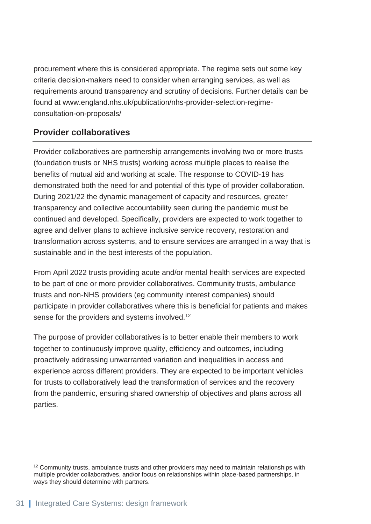procurement where this is considered appropriate. The regime sets out some key criteria decision-makers need to consider when arranging services, as well as requirements around transparency and scrutiny of decisions. Further details can be found at www.england.nhs.uk/publication/nhs-provider-selection-regimeconsultation-on-proposals/

#### **Provider collaboratives**

Provider collaboratives are partnership arrangements involving two or more trusts (foundation trusts or NHS trusts) working across multiple places to realise the benefits of mutual aid and working at scale. The response to COVID-19 has demonstrated both the need for and potential of this type of provider collaboration. During 2021/22 the dynamic management of capacity and resources, greater transparency and collective accountability seen during the pandemic must be continued and developed. Specifically, providers are expected to work together to agree and deliver plans to achieve inclusive service recovery, restoration and transformation across systems, and to ensure services are arranged in a way that is sustainable and in the best interests of the population.

From April 2022 trusts providing acute and/or mental health services are expected to be part of one or more provider collaboratives. Community trusts, ambulance trusts and non-NHS providers (eg community interest companies) should participate in provider collaboratives where this is beneficial for patients and makes sense for the providers and systems involved.<sup>12</sup>

The purpose of provider collaboratives is to better enable their members to work together to continuously improve quality, efficiency and outcomes, including proactively addressing unwarranted variation and inequalities in access and experience across different providers. They are expected to be important vehicles for trusts to collaboratively lead the transformation of services and the recovery from the pandemic, ensuring shared ownership of objectives and plans across all parties.

<sup>&</sup>lt;sup>12</sup> Community trusts, ambulance trusts and other providers may need to maintain relationships with multiple provider collaboratives, and/or focus on relationships within place-based partnerships, in ways they should determine with partners.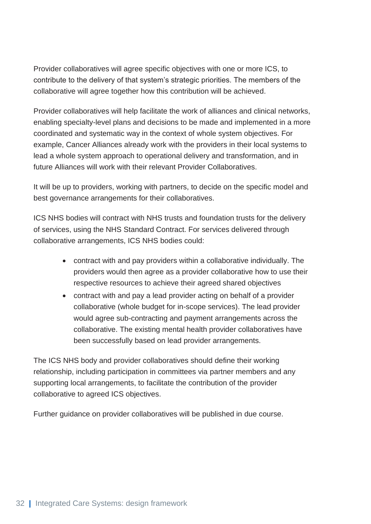Provider collaboratives will agree specific objectives with one or more ICS, to contribute to the delivery of that system's strategic priorities. The members of the collaborative will agree together how this contribution will be achieved.

Provider collaboratives will help facilitate the work of alliances and clinical networks, enabling specialty-level plans and decisions to be made and implemented in a more coordinated and systematic way in the context of whole system objectives. For example, Cancer Alliances already work with the providers in their local systems to lead a whole system approach to operational delivery and transformation, and in future Alliances will work with their relevant Provider Collaboratives.

It will be up to providers, working with partners, to decide on the specific model and best governance arrangements for their collaboratives.

ICS NHS bodies will contract with NHS trusts and foundation trusts for the delivery of services, using the NHS Standard Contract. For services delivered through collaborative arrangements, ICS NHS bodies could:

- contract with and pay providers within a collaborative individually. The providers would then agree as a provider collaborative how to use their respective resources to achieve their agreed shared objectives
- contract with and pay a lead provider acting on behalf of a provider collaborative (whole budget for in-scope services). The lead provider would agree sub-contracting and payment arrangements across the collaborative. The existing mental health provider collaboratives have been successfully based on lead provider arrangements.

The ICS NHS body and provider collaboratives should define their working relationship, including participation in committees via partner members and any supporting local arrangements, to facilitate the contribution of the provider collaborative to agreed ICS objectives.

<span id="page-32-0"></span>Further guidance on provider collaboratives will be published in due course.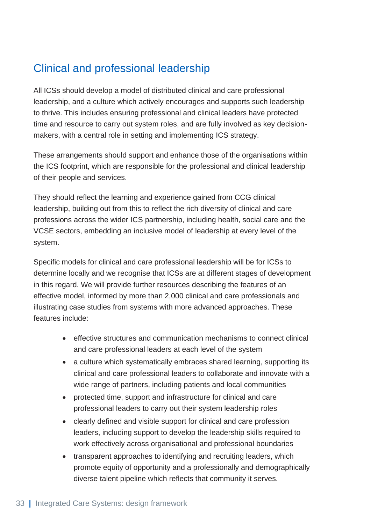### Clinical and professional leadership

All ICSs should develop a model of distributed clinical and care professional leadership, and a culture which actively encourages and supports such leadership to thrive. This includes ensuring professional and clinical leaders have protected time and resource to carry out system roles, and are fully involved as key decisionmakers, with a central role in setting and implementing ICS strategy.

These arrangements should support and enhance those of the organisations within the ICS footprint, which are responsible for the professional and clinical leadership of their people and services.

They should reflect the learning and experience gained from CCG clinical leadership, building out from this to reflect the rich diversity of clinical and care professions across the wider ICS partnership, including health, social care and the VCSE sectors, embedding an inclusive model of leadership at every level of the system.

Specific models for clinical and care professional leadership will be for ICSs to determine locally and we recognise that ICSs are at different stages of development in this regard. We will provide further resources describing the features of an effective model, informed by more than 2,000 clinical and care professionals and illustrating case studies from systems with more advanced approaches. These features include:

- effective structures and communication mechanisms to connect clinical and care professional leaders at each level of the system
- a culture which systematically embraces shared learning, supporting its clinical and care professional leaders to collaborate and innovate with a wide range of partners, including patients and local communities
- protected time, support and infrastructure for clinical and care professional leaders to carry out their system leadership roles
- clearly defined and visible support for clinical and care profession leaders, including support to develop the leadership skills required to work effectively across organisational and professional boundaries
- transparent approaches to identifying and recruiting leaders, which promote equity of opportunity and a professionally and demographically diverse talent pipeline which reflects that community it serves.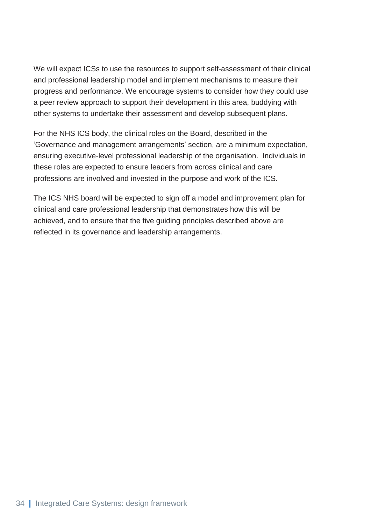We will expect ICSs to use the resources to support self-assessment of their clinical and professional leadership model and implement mechanisms to measure their progress and performance. We encourage systems to consider how they could use a peer review approach to support their development in this area, buddying with other systems to undertake their assessment and develop subsequent plans.

For the NHS ICS body, the clinical roles on the Board, described in the 'Governance and management arrangements' section, are a minimum expectation, ensuring executive-level professional leadership of the organisation. Individuals in these roles are expected to ensure leaders from across clinical and care professions are involved and invested in the purpose and work of the ICS.

The ICS NHS board will be expected to sign off a model and improvement plan for clinical and care professional leadership that demonstrates how this will be achieved, and to ensure that the five guiding principles described above are reflected in its governance and leadership arrangements.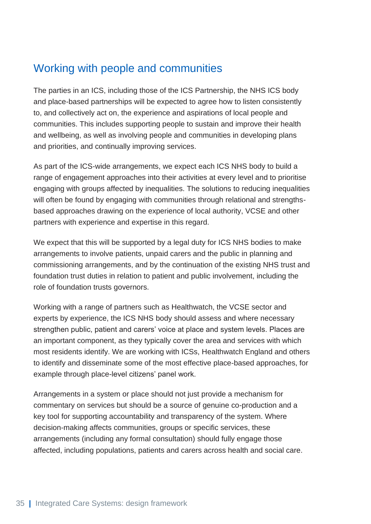### <span id="page-35-0"></span>Working with people and communities

The parties in an ICS, including those of the ICS Partnership, the NHS ICS body and place-based partnerships will be expected to agree how to listen consistently to, and collectively act on, the experience and aspirations of local people and communities. This includes supporting people to sustain and improve their health and wellbeing, as well as involving people and communities in developing plans and priorities, and continually improving services.

As part of the ICS-wide arrangements, we expect each ICS NHS body to build a range of engagement approaches into their activities at every level and to prioritise engaging with groups affected by inequalities. The solutions to reducing inequalities will often be found by engaging with communities through relational and strengthsbased approaches drawing on the experience of local authority, VCSE and other partners with experience and expertise in this regard.

We expect that this will be supported by a legal duty for ICS NHS bodies to make arrangements to involve patients, unpaid carers and the public in planning and commissioning arrangements, and by the continuation of the existing NHS trust and foundation trust duties in relation to patient and public involvement, including the role of foundation trusts governors.

Working with a range of partners such as Healthwatch, the VCSE sector and experts by experience, the ICS NHS body should assess and where necessary strengthen public, patient and carers' voice at place and system levels. Places are an important component, as they typically cover the area and services with which most residents identify. We are working with ICSs, Healthwatch England and others to identify and disseminate some of the most effective place-based approaches, for example through place-level citizens' panel work.

Arrangements in a system or place should not just provide a mechanism for commentary on services but should be a source of genuine co-production and a key tool for supporting accountability and transparency of the system. Where decision-making affects communities, groups or specific services, these arrangements (including any formal consultation) should fully engage those affected, including populations, patients and carers across health and social care.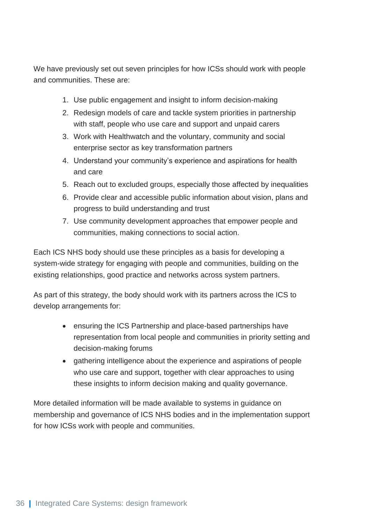We have previously set out seven principles for how ICSs should work with people and communities. These are:

- 1. Use public engagement and insight to inform decision-making
- 2. Redesign models of care and tackle system priorities in partnership with staff, people who use care and support and unpaid carers
- 3. Work with Healthwatch and the voluntary, community and social enterprise sector as key transformation partners
- 4. Understand your community's experience and aspirations for health and care
- 5. Reach out to excluded groups, especially those affected by inequalities
- 6. Provide clear and accessible public information about vision, plans and progress to build understanding and trust
- 7. Use community development approaches that empower people and communities, making connections to social action.

Each ICS NHS body should use these principles as a basis for developing a system-wide strategy for engaging with people and communities, building on the existing relationships, good practice and networks across system partners.

As part of this strategy, the body should work with its partners across the ICS to develop arrangements for:

- ensuring the ICS Partnership and place-based partnerships have representation from local people and communities in priority setting and decision-making forums
- gathering intelligence about the experience and aspirations of people who use care and support, together with clear approaches to using these insights to inform decision making and quality governance.

More detailed information will be made available to systems in guidance on membership and governance of ICS NHS bodies and in the implementation support for how ICSs work with people and communities.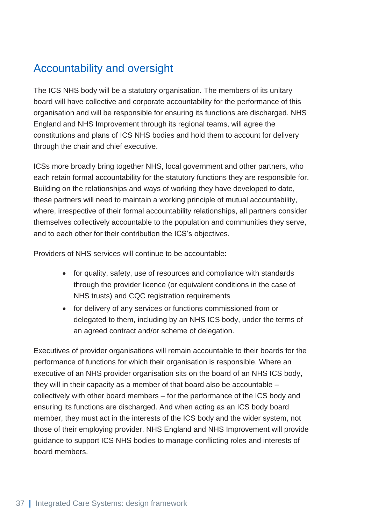### <span id="page-37-0"></span>Accountability and oversight

The ICS NHS body will be a statutory organisation. The members of its unitary board will have collective and corporate accountability for the performance of this organisation and will be responsible for ensuring its functions are discharged. NHS England and NHS Improvement through its regional teams, will agree the constitutions and plans of ICS NHS bodies and hold them to account for delivery through the chair and chief executive.

ICSs more broadly bring together NHS, local government and other partners, who each retain formal accountability for the statutory functions they are responsible for. Building on the relationships and ways of working they have developed to date, these partners will need to maintain a working principle of mutual accountability, where, irrespective of their formal accountability relationships, all partners consider themselves collectively accountable to the population and communities they serve, and to each other for their contribution the ICS's objectives.

Providers of NHS services will continue to be accountable:

- for quality, safety, use of resources and compliance with standards through the provider licence (or equivalent conditions in the case of NHS trusts) and CQC registration requirements
- for delivery of any services or functions commissioned from or delegated to them, including by an NHS ICS body, under the terms of an agreed contract and/or scheme of delegation.

Executives of provider organisations will remain accountable to their boards for the performance of functions for which their organisation is responsible. Where an executive of an NHS provider organisation sits on the board of an NHS ICS body, they will in their capacity as a member of that board also be accountable – collectively with other board members – for the performance of the ICS body and ensuring its functions are discharged. And when acting as an ICS body board member, they must act in the interests of the ICS body and the wider system, not those of their employing provider. NHS England and NHS Improvement will provide guidance to support ICS NHS bodies to manage conflicting roles and interests of board members.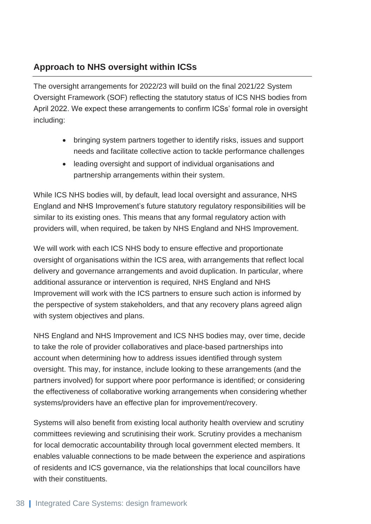#### **Approach to NHS oversight within ICSs**

The oversight arrangements for 2022/23 will build on the final 2021/22 System Oversight Framework (SOF) reflecting the statutory status of ICS NHS bodies from April 2022. We expect these arrangements to confirm ICSs' formal role in oversight including:

- bringing system partners together to identify risks, issues and support needs and facilitate collective action to tackle performance challenges
- leading oversight and support of individual organisations and partnership arrangements within their system.

While ICS NHS bodies will, by default, lead local oversight and assurance, NHS England and NHS Improvement's future statutory regulatory responsibilities will be similar to its existing ones. This means that any formal regulatory action with providers will, when required, be taken by NHS England and NHS Improvement.

We will work with each ICS NHS body to ensure effective and proportionate oversight of organisations within the ICS area, with arrangements that reflect local delivery and governance arrangements and avoid duplication. In particular, where additional assurance or intervention is required, NHS England and NHS Improvement will work with the ICS partners to ensure such action is informed by the perspective of system stakeholders, and that any recovery plans agreed align with system objectives and plans.

NHS England and NHS Improvement and ICS NHS bodies may, over time, decide to take the role of provider collaboratives and place-based partnerships into account when determining how to address issues identified through system oversight. This may, for instance, include looking to these arrangements (and the partners involved) for support where poor performance is identified; or considering the effectiveness of collaborative working arrangements when considering whether systems/providers have an effective plan for improvement/recovery.

Systems will also benefit from existing local authority health overview and scrutiny committees reviewing and scrutinising their work. Scrutiny provides a mechanism for local democratic accountability through local government elected members. It enables valuable connections to be made between the experience and aspirations of residents and ICS governance, via the relationships that local councillors have with their constituents.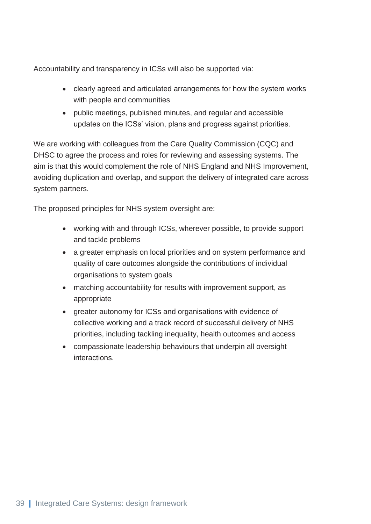Accountability and transparency in ICSs will also be supported via:

- clearly agreed and articulated arrangements for how the system works with people and communities
- public meetings, published minutes, and regular and accessible updates on the ICSs' vision, plans and progress against priorities.

We are working with colleagues from the Care Quality Commission (CQC) and DHSC to agree the process and roles for reviewing and assessing systems. The aim is that this would complement the role of NHS England and NHS Improvement, avoiding duplication and overlap, and support the delivery of integrated care across system partners.

The proposed principles for NHS system oversight are:

- working with and through ICSs, wherever possible, to provide support and tackle problems
- a greater emphasis on local priorities and on system performance and quality of care outcomes alongside the contributions of individual organisations to system goals
- matching accountability for results with improvement support, as appropriate
- greater autonomy for ICSs and organisations with evidence of collective working and a track record of successful delivery of NHS priorities, including tackling inequality, health outcomes and access
- <span id="page-39-0"></span>• compassionate leadership behaviours that underpin all oversight interactions.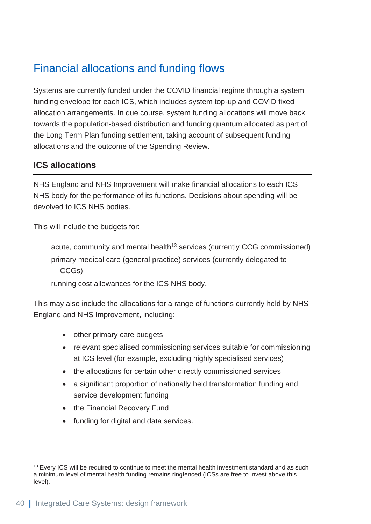### Financial allocations and funding flows

Systems are currently funded under the COVID financial regime through a system funding envelope for each ICS, which includes system top-up and COVID fixed allocation arrangements. In due course, system funding allocations will move back towards the population-based distribution and funding quantum allocated as part of the Long Term Plan funding settlement, taking account of subsequent funding allocations and the outcome of the Spending Review.

#### **ICS allocations**

NHS England and NHS Improvement will make financial allocations to each ICS NHS body for the performance of its functions. Decisions about spending will be devolved to ICS NHS bodies.

This will include the budgets for:

acute, community and mental health<sup>13</sup> services (currently CCG commissioned) primary medical care (general practice) services (currently delegated to CCGs)

running cost allowances for the ICS NHS body.

This may also include the allocations for a range of functions currently held by NHS England and NHS Improvement, including:

- other primary care budgets
- relevant specialised commissioning services suitable for commissioning at ICS level (for example, excluding highly specialised services)
- the allocations for certain other directly commissioned services
- a significant proportion of nationally held transformation funding and service development funding
- the Financial Recovery Fund
- funding for digital and data services.

<sup>&</sup>lt;sup>13</sup> Every ICS will be required to continue to meet the mental health investment standard and as such a minimum level of mental health funding remains ringfenced (ICSs are free to invest above this level).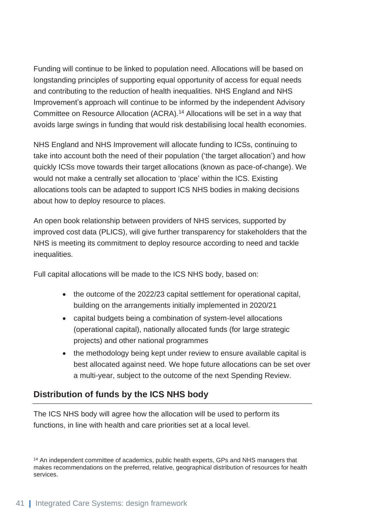Funding will continue to be linked to population need. Allocations will be based on longstanding principles of supporting equal opportunity of access for equal needs and contributing to the reduction of health inequalities. NHS England and NHS Improvement's approach will continue to be informed by the independent Advisory Committee on Resource Allocation (ACRA).<sup>14</sup> Allocations will be set in a way that avoids large swings in funding that would risk destabilising local health economies.

NHS England and NHS Improvement will allocate funding to ICSs, continuing to take into account both the need of their population ('the target allocation') and how quickly ICSs move towards their target allocations (known as pace-of-change). We would not make a centrally set allocation to 'place' within the ICS. Existing allocations tools can be adapted to support ICS NHS bodies in making decisions about how to deploy resource to places.

An open book relationship between providers of NHS services, supported by improved cost data (PLICS), will give further transparency for stakeholders that the NHS is meeting its commitment to deploy resource according to need and tackle inequalities.

Full capital allocations will be made to the ICS NHS body, based on:

- the outcome of the 2022/23 capital settlement for operational capital, building on the arrangements initially implemented in 2020/21
- capital budgets being a combination of system-level allocations (operational capital), nationally allocated funds (for large strategic projects) and other national programmes
- the methodology being kept under review to ensure available capital is best allocated against need. We hope future allocations can be set over a multi-year, subject to the outcome of the next Spending Review.

#### **Distribution of funds by the ICS NHS body**

The ICS NHS body will agree how the allocation will be used to perform its functions, in line with health and care priorities set at a local level.

<sup>14</sup> An independent committee of academics, public health experts, GPs and NHS managers that makes recommendations on the preferred, relative, geographical distribution of resources for health services.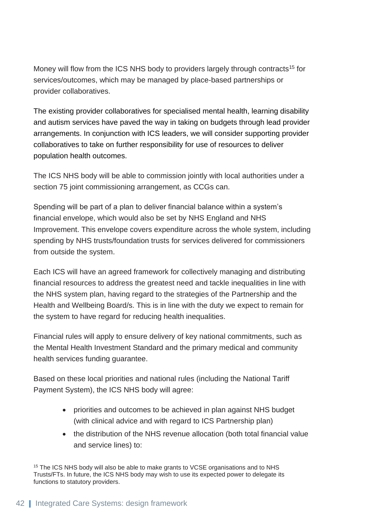Money will flow from the ICS NHS body to providers largely through contracts<sup>15</sup> for services/outcomes, which may be managed by place-based partnerships or provider collaboratives.

The existing provider collaboratives for specialised mental health, learning disability and autism services have paved the way in taking on budgets through lead provider arrangements. In conjunction with ICS leaders, we will consider supporting provider collaboratives to take on further responsibility for use of resources to deliver population health outcomes.

The ICS NHS body will be able to commission jointly with local authorities under a section 75 joint commissioning arrangement, as CCGs can.

Spending will be part of a plan to deliver financial balance within a system's financial envelope, which would also be set by NHS England and NHS Improvement. This envelope covers expenditure across the whole system, including spending by NHS trusts/foundation trusts for services delivered for commissioners from outside the system.

Each ICS will have an agreed framework for collectively managing and distributing financial resources to address the greatest need and tackle inequalities in line with the NHS system plan, having regard to the strategies of the Partnership and the Health and Wellbeing Board/s. This is in line with the duty we expect to remain for the system to have regard for reducing health inequalities.

Financial rules will apply to ensure delivery of key national commitments, such as the Mental Health Investment Standard and the primary medical and community health services funding guarantee.

Based on these local priorities and national rules (including the National Tariff Payment System), the ICS NHS body will agree:

- priorities and outcomes to be achieved in plan against NHS budget (with clinical advice and with regard to ICS Partnership plan)
- the distribution of the NHS revenue allocation (both total financial value and service lines) to:

<sup>15</sup> The ICS NHS body will also be able to make grants to VCSE organisations and to NHS Trusts/FTs. In future, the ICS NHS body may wish to use its expected power to delegate its functions to statutory providers.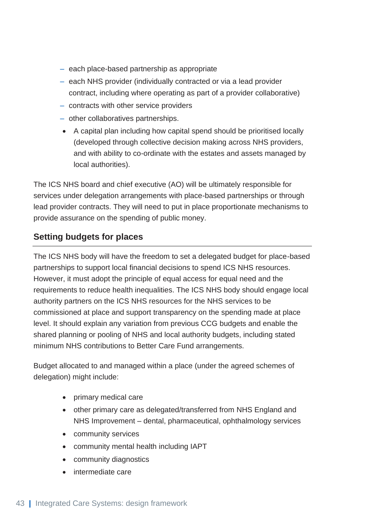- each place-based partnership as appropriate
- each NHS provider (individually contracted or via a lead provider contract, including where operating as part of a provider collaborative)
- contracts with other service providers
- other collaboratives partnerships.
- A capital plan including how capital spend should be prioritised locally (developed through collective decision making across NHS providers, and with ability to co-ordinate with the estates and assets managed by local authorities).

The ICS NHS board and chief executive (AO) will be ultimately responsible for services under delegation arrangements with place-based partnerships or through lead provider contracts. They will need to put in place proportionate mechanisms to provide assurance on the spending of public money.

#### **Setting budgets for places**

The ICS NHS body will have the freedom to set a delegated budget for place-based partnerships to support local financial decisions to spend ICS NHS resources. However, it must adopt the principle of equal access for equal need and the requirements to reduce health inequalities. The ICS NHS body should engage local authority partners on the ICS NHS resources for the NHS services to be commissioned at place and support transparency on the spending made at place level. It should explain any variation from previous CCG budgets and enable the shared planning or pooling of NHS and local authority budgets, including stated minimum NHS contributions to Better Care Fund arrangements.

Budget allocated to and managed within a place (under the agreed schemes of delegation) might include:

- primary medical care
- other primary care as delegated/transferred from NHS England and NHS Improvement – dental, pharmaceutical, ophthalmology services
- community services
- community mental health including IAPT
- community diagnostics
- intermediate care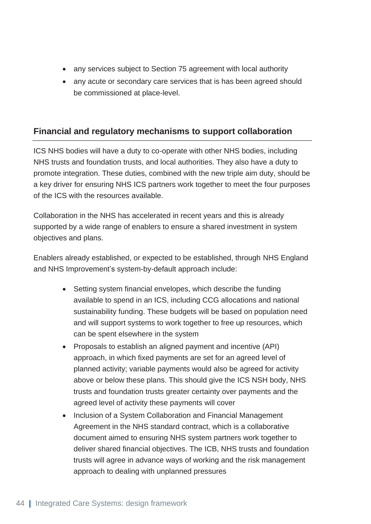- any services subject to Section 75 agreement with local authority
- any acute or secondary care services that is has been agreed should be commissioned at place-level.

#### **Financial and regulatory mechanisms to support collaboration**

ICS NHS bodies will have a duty to co-operate with other NHS bodies, including NHS trusts and foundation trusts, and local authorities. They also have a duty to promote integration. These duties, combined with the new triple aim duty, should be a key driver for ensuring NHS ICS partners work together to meet the four purposes of the ICS with the resources available.

Collaboration in the NHS has accelerated in recent years and this is already supported by a wide range of enablers to ensure a shared investment in system objectives and plans.

Enablers already established, or expected to be established, through NHS England and NHS Improvement's system-by-default approach include:

- Setting system financial envelopes, which describe the funding available to spend in an ICS, including CCG allocations and national sustainability funding. These budgets will be based on population need and will support systems to work together to free up resources, which can be spent elsewhere in the system
- Proposals to establish an aligned payment and incentive (API) approach, in which fixed payments are set for an agreed level of planned activity; variable payments would also be agreed for activity above or below these plans. This should give the ICS NSH body, NHS trusts and foundation trusts greater certainty over payments and the agreed level of activity these payments will cover
- Inclusion of a System Collaboration and Financial Management Agreement in the NHS standard contract, which is a collaborative document aimed to ensuring NHS system partners work together to deliver shared financial objectives. The ICB, NHS trusts and foundation trusts will agree in advance ways of working and the risk management approach to dealing with unplanned pressures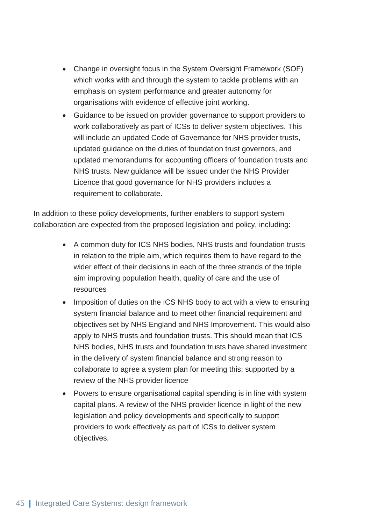- Change in oversight focus in the System Oversight Framework (SOF) which works with and through the system to tackle problems with an emphasis on system performance and greater autonomy for organisations with evidence of effective joint working.
- Guidance to be issued on provider governance to support providers to work collaboratively as part of ICSs to deliver system objectives. This will include an updated Code of Governance for NHS provider trusts, updated guidance on the duties of foundation trust governors, and updated memorandums for accounting officers of foundation trusts and NHS trusts. New guidance will be issued under the NHS Provider Licence that good governance for NHS providers includes a requirement to collaborate.

In addition to these policy developments, further enablers to support system collaboration are expected from the proposed legislation and policy, including:

- A common duty for ICS NHS bodies, NHS trusts and foundation trusts in relation to the triple aim, which requires them to have regard to the wider effect of their decisions in each of the three strands of the triple aim improving population health, quality of care and the use of resources
- Imposition of duties on the ICS NHS body to act with a view to ensuring system financial balance and to meet other financial requirement and objectives set by NHS England and NHS Improvement. This would also apply to NHS trusts and foundation trusts. This should mean that ICS NHS bodies, NHS trusts and foundation trusts have shared investment in the delivery of system financial balance and strong reason to collaborate to agree a system plan for meeting this; supported by a review of the NHS provider licence
- Powers to ensure organisational capital spending is in line with system capital plans. A review of the NHS provider licence in light of the new legislation and policy developments and specifically to support providers to work effectively as part of ICSs to deliver system objectives.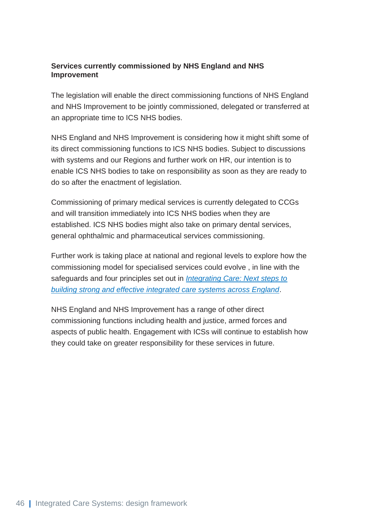#### **Services currently commissioned by NHS England and NHS Improvement**

The legislation will enable the direct commissioning functions of NHS England and NHS Improvement to be jointly commissioned, delegated or transferred at an appropriate time to ICS NHS bodies.

NHS England and NHS Improvement is considering how it might shift some of its direct commissioning functions to ICS NHS bodies. Subject to discussions with systems and our Regions and further work on HR, our intention is to enable ICS NHS bodies to take on responsibility as soon as they are ready to do so after the enactment of legislation.

Commissioning of primary medical services is currently delegated to CCGs and will transition immediately into ICS NHS bodies when they are established. ICS NHS bodies might also take on primary dental services, general ophthalmic and pharmaceutical services commissioning.

Further work is taking place at national and regional levels to explore how the commissioning model for specialised services could evolve , in line with the safeguards and four principles set out in *[Integrating Care: Next steps to](https://www.england.nhs.uk/publication/integrating-care-next-steps-to-building-strong-and-effective-integrated-care-systems-across-england/)  [building strong and effective integrated care systems across England](https://www.england.nhs.uk/publication/integrating-care-next-steps-to-building-strong-and-effective-integrated-care-systems-across-england/)*.

<span id="page-46-0"></span>NHS England and NHS Improvement has a range of other direct commissioning functions including health and justice, armed forces and aspects of public health. Engagement with ICSs will continue to establish how they could take on greater responsibility for these services in future.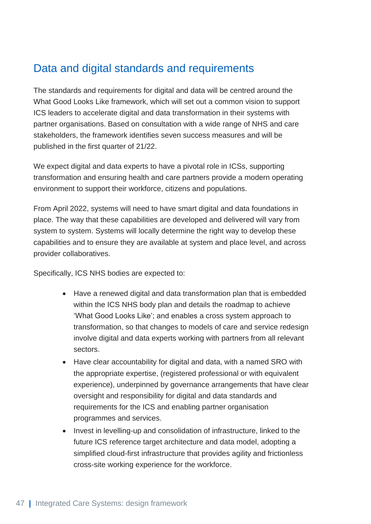### Data and digital standards and requirements

The standards and requirements for digital and data will be centred around the What Good Looks Like framework, which will set out a common vision to support ICS leaders to accelerate digital and data transformation in their systems with partner organisations. Based on consultation with a wide range of NHS and care stakeholders, the framework identifies seven success measures and will be published in the first quarter of 21/22.

We expect digital and data experts to have a pivotal role in ICSs, supporting transformation and ensuring health and care partners provide a modern operating environment to support their workforce, citizens and populations.

From April 2022, systems will need to have smart digital and data foundations in place. The way that these capabilities are developed and delivered will vary from system to system. Systems will locally determine the right way to develop these capabilities and to ensure they are available at system and place level, and across provider collaboratives.

Specifically, ICS NHS bodies are expected to:

- Have a renewed digital and data transformation plan that is embedded within the ICS NHS body plan and details the roadmap to achieve 'What Good Looks Like'; and enables a cross system approach to transformation, so that changes to models of care and service redesign involve digital and data experts working with partners from all relevant sectors.
- Have clear accountability for digital and data, with a named SRO with the appropriate expertise, (registered professional or with equivalent experience), underpinned by governance arrangements that have clear oversight and responsibility for digital and data standards and requirements for the ICS and enabling partner organisation programmes and services.
- Invest in levelling-up and consolidation of infrastructure, linked to the future ICS reference target architecture and data model, adopting a simplified cloud-first infrastructure that provides agility and frictionless cross-site working experience for the workforce.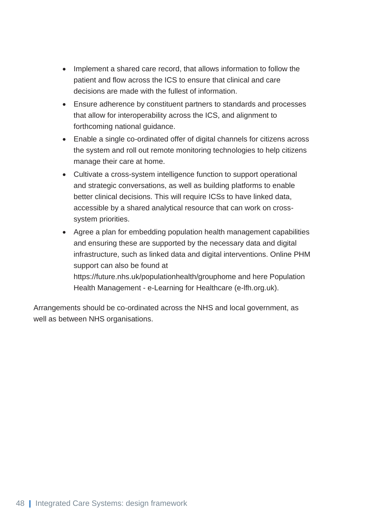- Implement a shared care record, that allows information to follow the patient and flow across the ICS to ensure that clinical and care decisions are made with the fullest of information.
- Ensure adherence by constituent partners to standards and processes that allow for interoperability across the ICS, and alignment to forthcoming national guidance.
- Enable a single co-ordinated offer of digital channels for citizens across the system and roll out remote monitoring technologies to help citizens manage their care at home.
- Cultivate a cross-system intelligence function to support operational and strategic conversations, as well as building platforms to enable better clinical decisions. This will require ICSs to have linked data, accessible by a shared analytical resource that can work on crosssystem priorities.
- Agree a plan for embedding population health management capabilities and ensuring these are supported by the necessary data and digital infrastructure, such as linked data and digital interventions. Online PHM support can also be found at https://future.nhs.uk/populationhealth/grouphome and here Population Health Management - e-Learning for Healthcare (e-lfh.org.uk).

Arrangements should be co-ordinated across the NHS and local government, as well as between NHS organisations.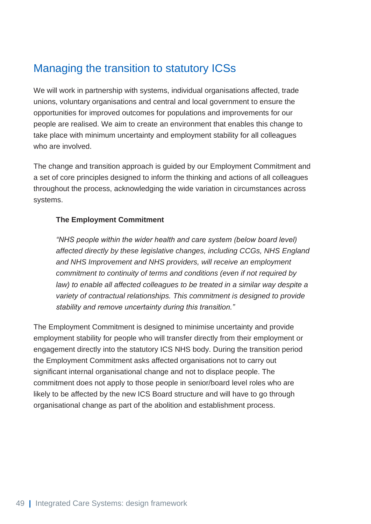### <span id="page-49-0"></span>Managing the transition to statutory ICSs

We will work in partnership with systems, individual organisations affected, trade unions, voluntary organisations and central and local government to ensure the opportunities for improved outcomes for populations and improvements for our people are realised. We aim to create an environment that enables this change to take place with minimum uncertainty and employment stability for all colleagues who are involved.

The change and transition approach is guided by our Employment Commitment and a set of core principles designed to inform the thinking and actions of all colleagues throughout the process, acknowledging the wide variation in circumstances across systems.

#### **The Employment Commitment**

*"NHS people within the wider health and care system (below board level) affected directly by these legislative changes, including CCGs, NHS England and NHS Improvement and NHS providers, will receive an employment commitment to continuity of terms and conditions (even if not required by law)* to enable all affected colleagues to be treated in a similar way despite a *variety of contractual relationships. This commitment is designed to provide stability and remove uncertainty during this transition."*

The Employment Commitment is designed to minimise uncertainty and provide employment stability for people who will transfer directly from their employment or engagement directly into the statutory ICS NHS body. During the transition period the Employment Commitment asks affected organisations not to carry out significant internal organisational change and not to displace people. The commitment does not apply to those people in senior/board level roles who are likely to be affected by the new ICS Board structure and will have to go through organisational change as part of the abolition and establishment process.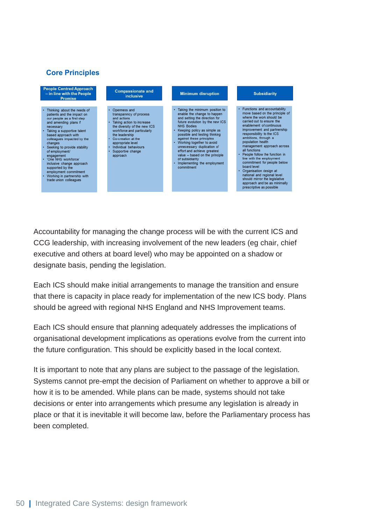#### **Core Principles**



Accountability for managing the change process will be with the current ICS and CCG leadership, with increasing involvement of the new leaders (eg chair, chief executive and others at board level) who may be appointed on a shadow or designate basis, pending the legislation.

Each ICS should make initial arrangements to manage the transition and ensure that there is capacity in place ready for implementation of the new ICS body. Plans should be agreed with regional NHS England and NHS Improvement teams.

Each ICS should ensure that planning adequately addresses the implications of organisational development implications as operations evolve from the current into the future configuration. This should be explicitly based in the local context.

It is important to note that any plans are subject to the passage of the legislation. Systems cannot pre-empt the decision of Parliament on whether to approve a bill or how it is to be amended. While plans can be made, systems should not take decisions or enter into arrangements which presume any legislation is already in place or that it is inevitable it will become law, before the Parliamentary process has been completed.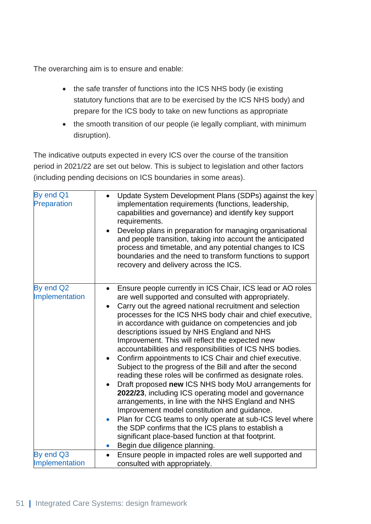The overarching aim is to ensure and enable:

- the safe transfer of functions into the ICS NHS body (ie existing statutory functions that are to be exercised by the ICS NHS body) and prepare for the ICS body to take on new functions as appropriate
- the smooth transition of our people (ie legally compliant, with minimum disruption).

The indicative outputs expected in every ICS over the course of the transition period in 2021/22 are set out below. This is subject to legislation and other factors (including pending decisions on ICS boundaries in some areas).

| By end Q1<br>Preparation    | Update System Development Plans (SDPs) against the key<br>$\bullet$<br>implementation requirements (functions, leadership,<br>capabilities and governance) and identify key support<br>requirements.<br>Develop plans in preparation for managing organisational<br>and people transition, taking into account the anticipated<br>process and timetable, and any potential changes to ICS<br>boundaries and the need to transform functions to support<br>recovery and delivery across the ICS.                                                                                                                                                                                                                                                                                                                                                                                                                                                                                                                                                                                                                            |
|-----------------------------|----------------------------------------------------------------------------------------------------------------------------------------------------------------------------------------------------------------------------------------------------------------------------------------------------------------------------------------------------------------------------------------------------------------------------------------------------------------------------------------------------------------------------------------------------------------------------------------------------------------------------------------------------------------------------------------------------------------------------------------------------------------------------------------------------------------------------------------------------------------------------------------------------------------------------------------------------------------------------------------------------------------------------------------------------------------------------------------------------------------------------|
| By end Q2<br>Implementation | Ensure people currently in ICS Chair, ICS lead or AO roles<br>$\bullet$<br>are well supported and consulted with appropriately.<br>Carry out the agreed national recruitment and selection<br>processes for the ICS NHS body chair and chief executive,<br>in accordance with guidance on competencies and job<br>descriptions issued by NHS England and NHS<br>Improvement. This will reflect the expected new<br>accountabilities and responsibilities of ICS NHS bodies.<br>Confirm appointments to ICS Chair and chief executive.<br>Subject to the progress of the Bill and after the second<br>reading these roles will be confirmed as designate roles.<br>Draft proposed new ICS NHS body MoU arrangements for<br>2022/23, including ICS operating model and governance<br>arrangements, in line with the NHS England and NHS<br>Improvement model constitution and guidance.<br>Plan for CCG teams to only operate at sub-ICS level where<br>$\bullet$<br>the SDP confirms that the ICS plans to establish a<br>significant place-based function at that footprint.<br>Begin due diligence planning.<br>$\bullet$ |
| By end Q3                   | Ensure people in impacted roles are well supported and<br>$\bullet$                                                                                                                                                                                                                                                                                                                                                                                                                                                                                                                                                                                                                                                                                                                                                                                                                                                                                                                                                                                                                                                        |
| Implementation              | consulted with appropriately.                                                                                                                                                                                                                                                                                                                                                                                                                                                                                                                                                                                                                                                                                                                                                                                                                                                                                                                                                                                                                                                                                              |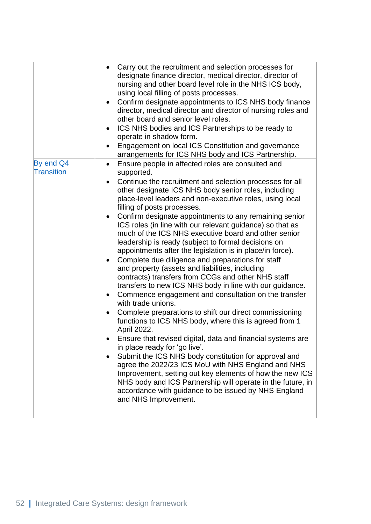|                                | Carry out the recruitment and selection processes for<br>$\bullet$<br>designate finance director, medical director, director of<br>nursing and other board level role in the NHS ICS body,<br>using local filling of posts processes.<br>Confirm designate appointments to ICS NHS body finance<br>$\bullet$<br>director, medical director and director of nursing roles and<br>other board and senior level roles.<br>ICS NHS bodies and ICS Partnerships to be ready to<br>operate in shadow form.<br>Engagement on local ICS Constitution and governance                                                                                                                                                                                                                                                                                                                                                                                                                                                                                                                                                                                                                                                                                                                                                                                                                                                                                                                                                                                                                    |
|--------------------------------|--------------------------------------------------------------------------------------------------------------------------------------------------------------------------------------------------------------------------------------------------------------------------------------------------------------------------------------------------------------------------------------------------------------------------------------------------------------------------------------------------------------------------------------------------------------------------------------------------------------------------------------------------------------------------------------------------------------------------------------------------------------------------------------------------------------------------------------------------------------------------------------------------------------------------------------------------------------------------------------------------------------------------------------------------------------------------------------------------------------------------------------------------------------------------------------------------------------------------------------------------------------------------------------------------------------------------------------------------------------------------------------------------------------------------------------------------------------------------------------------------------------------------------------------------------------------------------|
| By end Q4<br><b>Transition</b> | arrangements for ICS NHS body and ICS Partnership.<br>Ensure people in affected roles are consulted and<br>$\bullet$<br>supported.<br>Continue the recruitment and selection processes for all<br>$\bullet$<br>other designate ICS NHS body senior roles, including<br>place-level leaders and non-executive roles, using local<br>filling of posts processes.<br>Confirm designate appointments to any remaining senior<br>$\bullet$<br>ICS roles (in line with our relevant guidance) so that as<br>much of the ICS NHS executive board and other senior<br>leadership is ready (subject to formal decisions on<br>appointments after the legislation is in place/in force).<br>Complete due diligence and preparations for staff<br>and property (assets and liabilities, including<br>contracts) transfers from CCGs and other NHS staff<br>transfers to new ICS NHS body in line with our guidance.<br>Commence engagement and consultation on the transfer<br>$\bullet$<br>with trade unions.<br>Complete preparations to shift our direct commissioning<br>$\bullet$<br>functions to ICS NHS body, where this is agreed from 1<br>April 2022.<br>Ensure that revised digital, data and financial systems are<br>in place ready for 'go live'.<br>Submit the ICS NHS body constitution for approval and<br>agree the 2022/23 ICS MoU with NHS England and NHS<br>Improvement, setting out key elements of how the new ICS<br>NHS body and ICS Partnership will operate in the future, in<br>accordance with guidance to be issued by NHS England<br>and NHS Improvement. |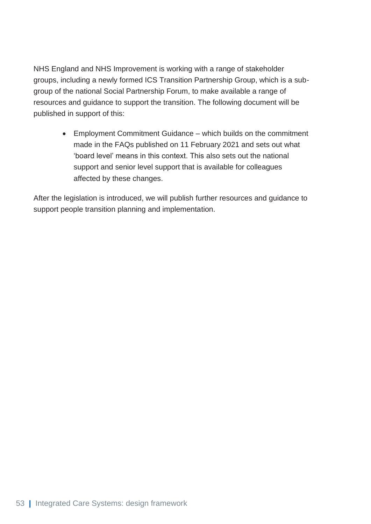NHS England and NHS Improvement is working with a range of stakeholder groups, including a newly formed ICS Transition Partnership Group, which is a subgroup of the national Social Partnership Forum, to make available a range of resources and guidance to support the transition. The following document will be published in support of this:

> • Employment Commitment Guidance – which builds on the commitment made in the FAQs published on 11 February 2021 and sets out what 'board level' means in this context. This also sets out the national support and senior level support that is available for colleagues affected by these changes.

After the legislation is introduced, we will publish further resources and guidance to support people transition planning and implementation.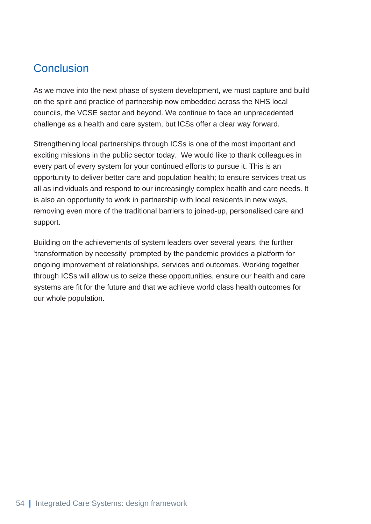### <span id="page-54-0"></span>**Conclusion**

As we move into the next phase of system development, we must capture and build on the spirit and practice of partnership now embedded across the NHS local councils, the VCSE sector and beyond. We continue to face an unprecedented challenge as a health and care system, but ICSs offer a clear way forward.

Strengthening local partnerships through ICSs is one of the most important and exciting missions in the public sector today. We would like to thank colleagues in every part of every system for your continued efforts to pursue it. This is an opportunity to deliver better care and population health; to ensure services treat us all as individuals and respond to our increasingly complex health and care needs. It is also an opportunity to work in partnership with local residents in new ways, removing even more of the traditional barriers to joined-up, personalised care and support.

Building on the achievements of system leaders over several years, the further 'transformation by necessity' prompted by the pandemic provides a platform for ongoing improvement of relationships, services and outcomes. Working together through ICSs will allow us to seize these opportunities, ensure our health and care systems are fit for the future and that we achieve world class health outcomes for our whole population.